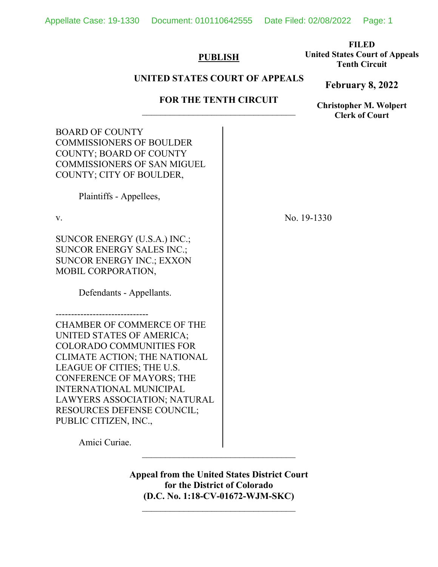Appellate Case: 19-1330 Document: 010110642555 Date Filed: 02/08/2022 Page: 1

# **PUBLISH**

**FILED United States Court of Appeals Tenth Circuit** 

**February 8, 2022**

# **UNITED STATES COURT OF APPEALS**

# **FOR THE TENTH CIRCUIT**

**Christopher M. Wolpert Clerk of Court**

| <b>BOARD OF COUNTY</b><br><b>COMMISSIONERS OF BOULDER</b><br><b>COUNTY; BOARD OF COUNTY</b><br><b>COMMISSIONERS OF SAN MIGUEL</b><br>COUNTY; CITY OF BOULDER,                                                                                                                                                                |             |
|------------------------------------------------------------------------------------------------------------------------------------------------------------------------------------------------------------------------------------------------------------------------------------------------------------------------------|-------------|
| Plaintiffs - Appellees,                                                                                                                                                                                                                                                                                                      |             |
| V.                                                                                                                                                                                                                                                                                                                           | No. 19-1330 |
| SUNCOR ENERGY (U.S.A.) INC.;<br><b>SUNCOR ENERGY SALES INC.;</b><br>SUNCOR ENERGY INC.; EXXON<br>MOBIL CORPORATION,<br>Defendants - Appellants.                                                                                                                                                                              |             |
| <b>CHAMBER OF COMMERCE OF THE</b><br>UNITED STATES OF AMERICA;<br><b>COLORADO COMMUNITIES FOR</b><br>CLIMATE ACTION; THE NATIONAL<br>LEAGUE OF CITIES; THE U.S.<br><b>CONFERENCE OF MAYORS; THE</b><br><b>INTERNATIONAL MUNICIPAL</b><br>LAWYERS ASSOCIATION; NATURAL<br>RESOURCES DEFENSE COUNCIL;<br>PUBLIC CITIZEN, INC., |             |
| Amici Curiae.                                                                                                                                                                                                                                                                                                                |             |

**Appeal from the United States District Court for the District of Colorado (D.C. No. 1:18-CV-01672-WJM-SKC)**

 $\mathcal{L}_\text{max}$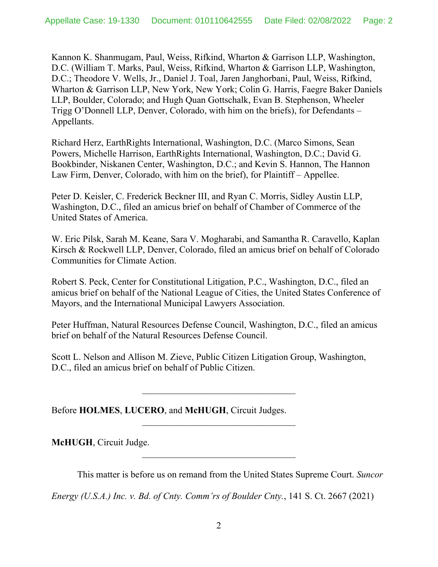Kannon K. Shanmugam, Paul, Weiss, Rifkind, Wharton & Garrison LLP, Washington, D.C. (William T. Marks, Paul, Weiss, Rifkind, Wharton & Garrison LLP, Washington, D.C.; Theodore V. Wells, Jr., Daniel J. Toal, Jaren Janghorbani, Paul, Weiss, Rifkind, Wharton & Garrison LLP, New York, New York; Colin G. Harris, Faegre Baker Daniels LLP, Boulder, Colorado; and Hugh Quan Gottschalk, Evan B. Stephenson, Wheeler Trigg O'Donnell LLP, Denver, Colorado, with him on the briefs), for Defendants – Appellants.

Richard Herz, EarthRights International, Washington, D.C. (Marco Simons, Sean Powers, Michelle Harrison, EarthRights International, Washington, D.C.; David G. Bookbinder, Niskanen Center, Washington, D.C.; and Kevin S. Hannon, The Hannon Law Firm, Denver, Colorado, with him on the brief), for Plaintiff – Appellee.

Peter D. Keisler, C. Frederick Beckner III, and Ryan C. Morris, Sidley Austin LLP, Washington, D.C., filed an amicus brief on behalf of Chamber of Commerce of the United States of America.

W. Eric Pilsk, Sarah M. Keane, Sara V. Mogharabi, and Samantha R. Caravello, Kaplan Kirsch & Rockwell LLP, Denver, Colorado, filed an amicus brief on behalf of Colorado Communities for Climate Action.

Robert S. Peck, Center for Constitutional Litigation, P.C., Washington, D.C., filed an amicus brief on behalf of the National League of Cities, the United States Conference of Mayors, and the International Municipal Lawyers Association.

Peter Huffman, Natural Resources Defense Council, Washington, D.C., filed an amicus brief on behalf of the Natural Resources Defense Council.

Scott L. Nelson and Allison M. Zieve, Public Citizen Litigation Group, Washington, D.C., filed an amicus brief on behalf of Public Citizen.

Before **HOLMES**, **LUCERO**, and **McHUGH**, Circuit Judges.

**McHUGH**, Circuit Judge.

This matter is before us on remand from the United States Supreme Court. *Suncor* 

*Energy (U.S.A.) Inc. v. Bd. of Cnty. Comm'rs of Boulder Cnty.*, 141 S. Ct. 2667 (2021)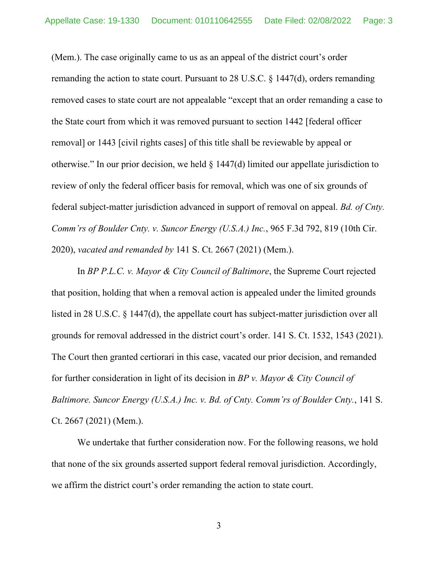(Mem.). The case originally came to us as an appeal of the district court's order remanding the action to state court. Pursuant to 28 U.S.C. § 1447(d), orders remanding removed cases to state court are not appealable "except that an order remanding a case to the State court from which it was removed pursuant to section 1442 [federal officer removal] or 1443 [civil rights cases] of this title shall be reviewable by appeal or otherwise." In our prior decision, we held § 1447(d) limited our appellate jurisdiction to review of only the federal officer basis for removal, which was one of six grounds of federal subject-matter jurisdiction advanced in support of removal on appeal. *Bd. of Cnty. Comm'rs of Boulder Cnty. v. Suncor Energy (U.S.A.) Inc.*, 965 F.3d 792, 819 (10th Cir. 2020), *vacated and remanded by* 141 S. Ct. 2667 (2021) (Mem.).

In *BP P.L.C. v. Mayor & City Council of Baltimore*, the Supreme Court rejected that position, holding that when a removal action is appealed under the limited grounds listed in 28 U.S.C. § 1447(d), the appellate court has subject-matter jurisdiction over all grounds for removal addressed in the district court's order. 141 S. Ct. 1532, 1543 (2021). The Court then granted certiorari in this case, vacated our prior decision, and remanded for further consideration in light of its decision in *BP v. Mayor & City Council of Baltimore. Suncor Energy (U.S.A.) Inc. v. Bd. of Cnty. Comm'rs of Boulder Cnty.*, 141 S. Ct. 2667 (2021) (Mem.).

We undertake that further consideration now. For the following reasons, we hold that none of the six grounds asserted support federal removal jurisdiction. Accordingly, we affirm the district court's order remanding the action to state court.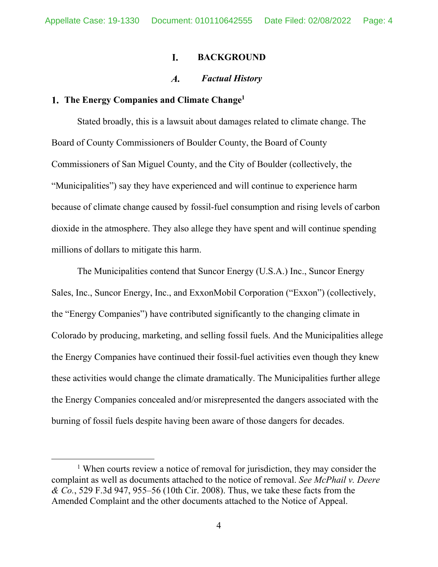#### L. **BACKGROUND**

#### $\boldsymbol{A}$ . *Factual History*

# **The Energy Companies and Climate Change1**

Stated broadly, this is a lawsuit about damages related to climate change. The Board of County Commissioners of Boulder County, the Board of County Commissioners of San Miguel County, and the City of Boulder (collectively, the "Municipalities") say they have experienced and will continue to experience harm because of climate change caused by fossil-fuel consumption and rising levels of carbon dioxide in the atmosphere. They also allege they have spent and will continue spending millions of dollars to mitigate this harm.

The Municipalities contend that Suncor Energy (U.S.A.) Inc., Suncor Energy Sales, Inc., Suncor Energy, Inc., and ExxonMobil Corporation ("Exxon") (collectively, the "Energy Companies") have contributed significantly to the changing climate in Colorado by producing, marketing, and selling fossil fuels. And the Municipalities allege the Energy Companies have continued their fossil-fuel activities even though they knew these activities would change the climate dramatically. The Municipalities further allege the Energy Companies concealed and/or misrepresented the dangers associated with the burning of fossil fuels despite having been aware of those dangers for decades.

<sup>&</sup>lt;sup>1</sup> When courts review a notice of removal for jurisdiction, they may consider the complaint as well as documents attached to the notice of removal. *See McPhail v. Deere & Co.*, 529 F.3d 947, 955–56 (10th Cir. 2008). Thus, we take these facts from the Amended Complaint and the other documents attached to the Notice of Appeal.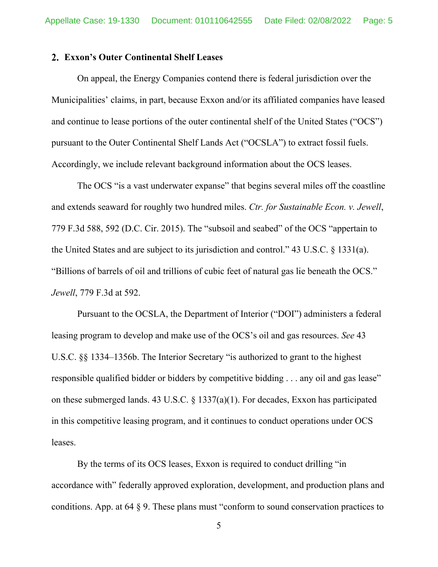## **Exxon's Outer Continental Shelf Leases**

On appeal, the Energy Companies contend there is federal jurisdiction over the Municipalities' claims, in part, because Exxon and/or its affiliated companies have leased and continue to lease portions of the outer continental shelf of the United States ("OCS") pursuant to the Outer Continental Shelf Lands Act ("OCSLA") to extract fossil fuels. Accordingly, we include relevant background information about the OCS leases.

The OCS "is a vast underwater expanse" that begins several miles off the coastline and extends seaward for roughly two hundred miles. *Ctr. for Sustainable Econ. v. Jewell*, 779 F.3d 588, 592 (D.C. Cir. 2015). The "subsoil and seabed" of the OCS "appertain to the United States and are subject to its jurisdiction and control." 43 U.S.C. § 1331(a). "Billions of barrels of oil and trillions of cubic feet of natural gas lie beneath the OCS." *Jewell*, 779 F.3d at 592.

Pursuant to the OCSLA, the Department of Interior ("DOI") administers a federal leasing program to develop and make use of the OCS's oil and gas resources. *See* 43 U.S.C. §§ 1334–1356b. The Interior Secretary "is authorized to grant to the highest responsible qualified bidder or bidders by competitive bidding . . . any oil and gas lease" on these submerged lands. 43 U.S.C. § 1337(a)(1). For decades, Exxon has participated in this competitive leasing program, and it continues to conduct operations under OCS leases.

By the terms of its OCS leases, Exxon is required to conduct drilling "in accordance with" federally approved exploration, development, and production plans and conditions. App. at 64 § 9. These plans must "conform to sound conservation practices to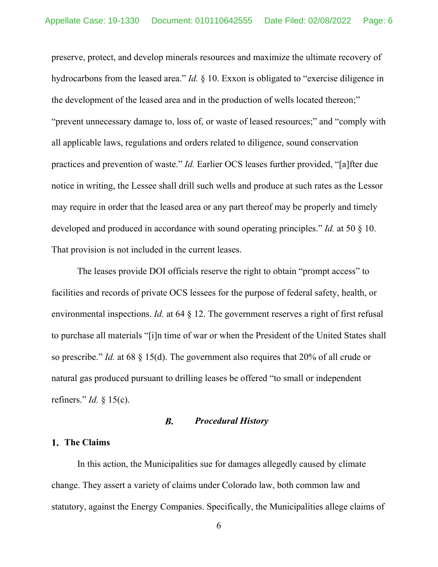preserve, protect, and develop minerals resources and maximize the ultimate recovery of hydrocarbons from the leased area." *Id.* § 10. Exxon is obligated to "exercise diligence in the development of the leased area and in the production of wells located thereon;" "prevent unnecessary damage to, loss of, or waste of leased resources;" and "comply with all applicable laws, regulations and orders related to diligence, sound conservation practices and prevention of waste." *Id.* Earlier OCS leases further provided, "[a]fter due notice in writing, the Lessee shall drill such wells and produce at such rates as the Lessor may require in order that the leased area or any part thereof may be properly and timely developed and produced in accordance with sound operating principles." *Id.* at 50 § 10. That provision is not included in the current leases.

The leases provide DOI officials reserve the right to obtain "prompt access" to facilities and records of private OCS lessees for the purpose of federal safety, health, or environmental inspections. *Id.* at 64 § 12. The government reserves a right of first refusal to purchase all materials "[i]n time of war or when the President of the United States shall so prescribe." *Id.* at 68 § 15(d). The government also requires that 20% of all crude or natural gas produced pursuant to drilling leases be offered "to small or independent refiners." *Id.* § 15(c).

#### $\boldsymbol{B}$ . *Procedural History*

# **The Claims**

In this action, the Municipalities sue for damages allegedly caused by climate change. They assert a variety of claims under Colorado law, both common law and statutory, against the Energy Companies. Specifically, the Municipalities allege claims of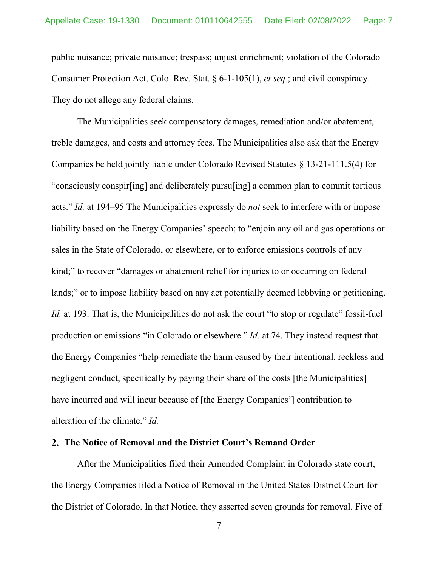public nuisance; private nuisance; trespass; unjust enrichment; violation of the Colorado Consumer Protection Act, Colo. Rev. Stat. § 6-1-105(1), *et seq.*; and civil conspiracy. They do not allege any federal claims.

The Municipalities seek compensatory damages, remediation and/or abatement, treble damages, and costs and attorney fees. The Municipalities also ask that the Energy Companies be held jointly liable under Colorado Revised Statutes § 13-21-111.5(4) for "consciously conspir[ing] and deliberately pursu[ing] a common plan to commit tortious acts." *Id.* at 194–95 The Municipalities expressly do *not* seek to interfere with or impose liability based on the Energy Companies' speech; to "enjoin any oil and gas operations or sales in the State of Colorado, or elsewhere, or to enforce emissions controls of any kind;" to recover "damages or abatement relief for injuries to or occurring on federal lands;" or to impose liability based on any act potentially deemed lobbying or petitioning. *Id.* at 193. That is, the Municipalities do not ask the court "to stop or regulate" fossil-fuel production or emissions "in Colorado or elsewhere." *Id.* at 74. They instead request that the Energy Companies "help remediate the harm caused by their intentional, reckless and negligent conduct, specifically by paying their share of the costs [the Municipalities] have incurred and will incur because of [the Energy Companies'] contribution to alteration of the climate." *Id.* 

# **The Notice of Removal and the District Court's Remand Order**

 After the Municipalities filed their Amended Complaint in Colorado state court, the Energy Companies filed a Notice of Removal in the United States District Court for the District of Colorado. In that Notice, they asserted seven grounds for removal. Five of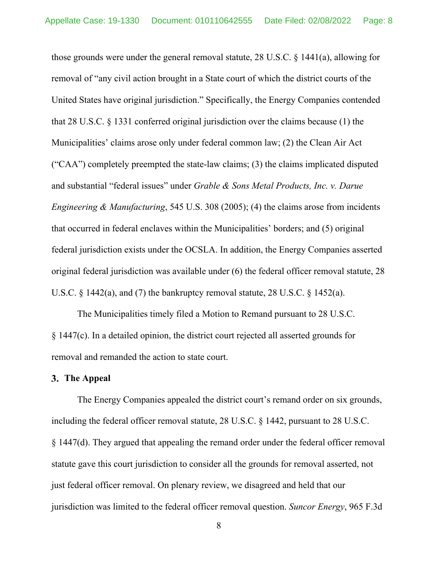those grounds were under the general removal statute, 28 U.S.C. § 1441(a), allowing for removal of "any civil action brought in a State court of which the district courts of the United States have original jurisdiction." Specifically, the Energy Companies contended that 28 U.S.C. § 1331 conferred original jurisdiction over the claims because (1) the Municipalities' claims arose only under federal common law; (2) the Clean Air Act ("CAA") completely preempted the state-law claims; (3) the claims implicated disputed and substantial "federal issues" under *Grable & Sons Metal Products, Inc. v. Darue Engineering & Manufacturing*, 545 U.S. 308 (2005); (4) the claims arose from incidents that occurred in federal enclaves within the Municipalities' borders; and (5) original federal jurisdiction exists under the OCSLA. In addition, the Energy Companies asserted original federal jurisdiction was available under (6) the federal officer removal statute, 28 U.S.C. § 1442(a), and (7) the bankruptcy removal statute, 28 U.S.C. § 1452(a).

The Municipalities timely filed a Motion to Remand pursuant to 28 U.S.C. § 1447(c). In a detailed opinion, the district court rejected all asserted grounds for removal and remanded the action to state court.

# **The Appeal**

The Energy Companies appealed the district court's remand order on six grounds, including the federal officer removal statute, 28 U.S.C. § 1442, pursuant to 28 U.S.C. § 1447(d). They argued that appealing the remand order under the federal officer removal statute gave this court jurisdiction to consider all the grounds for removal asserted, not just federal officer removal. On plenary review, we disagreed and held that our jurisdiction was limited to the federal officer removal question. *Suncor Energy*, 965 F.3d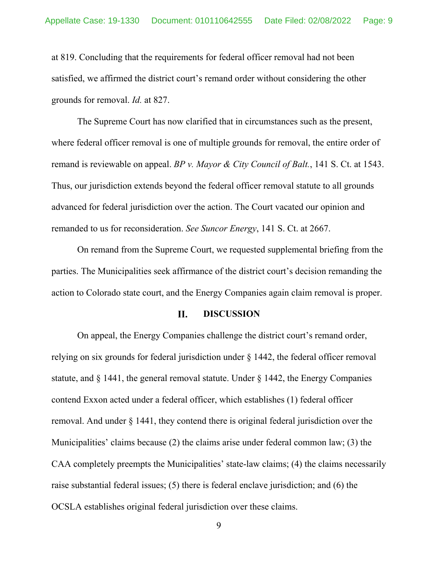at 819. Concluding that the requirements for federal officer removal had not been satisfied, we affirmed the district court's remand order without considering the other grounds for removal. *Id.* at 827.

The Supreme Court has now clarified that in circumstances such as the present, where federal officer removal is one of multiple grounds for removal, the entire order of remand is reviewable on appeal. *BP v. Mayor & City Council of Balt.*, 141 S. Ct. at 1543. Thus, our jurisdiction extends beyond the federal officer removal statute to all grounds advanced for federal jurisdiction over the action. The Court vacated our opinion and remanded to us for reconsideration. *See Suncor Energy*, 141 S. Ct. at 2667.

On remand from the Supreme Court, we requested supplemental briefing from the parties. The Municipalities seek affirmance of the district court's decision remanding the action to Colorado state court, and the Energy Companies again claim removal is proper.

#### II. **DISCUSSION**

On appeal, the Energy Companies challenge the district court's remand order, relying on six grounds for federal jurisdiction under § 1442, the federal officer removal statute, and § 1441, the general removal statute. Under § 1442, the Energy Companies contend Exxon acted under a federal officer, which establishes (1) federal officer removal. And under § 1441, they contend there is original federal jurisdiction over the Municipalities' claims because (2) the claims arise under federal common law; (3) the CAA completely preempts the Municipalities' state-law claims; (4) the claims necessarily raise substantial federal issues; (5) there is federal enclave jurisdiction; and (6) the OCSLA establishes original federal jurisdiction over these claims.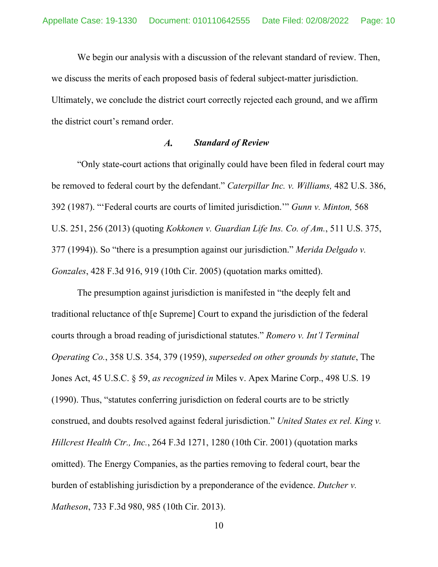We begin our analysis with a discussion of the relevant standard of review. Then, we discuss the merits of each proposed basis of federal subject-matter jurisdiction. Ultimately, we conclude the district court correctly rejected each ground, and we affirm the district court's remand order.

### $\boldsymbol{A}$ . *Standard of Review*

"Only state-court actions that originally could have been filed in federal court may be removed to federal court by the defendant." *Caterpillar Inc. v. Williams,* 482 U.S. 386, 392 (1987). "'Federal courts are courts of limited jurisdiction.'" *Gunn v. Minton,* 568 U.S. 251, 256 (2013) (quoting *Kokkonen v. Guardian Life Ins. Co. of Am.*, 511 U.S. 375, 377 (1994)). So "there is a presumption against our jurisdiction." *Merida Delgado v. Gonzales*, 428 F.3d 916, 919 (10th Cir. 2005) (quotation marks omitted).

The presumption against jurisdiction is manifested in "the deeply felt and traditional reluctance of th[e Supreme] Court to expand the jurisdiction of the federal courts through a broad reading of jurisdictional statutes." *Romero v. Int'l Terminal Operating Co.*, 358 U.S. 354, 379 (1959), *superseded on other grounds by statute*, The Jones Act, 45 U.S.C. § 59, *as recognized in* Miles v. Apex Marine Corp., 498 U.S. 19 (1990). Thus, "statutes conferring jurisdiction on federal courts are to be strictly construed, and doubts resolved against federal jurisdiction." *United States ex rel. King v. Hillcrest Health Ctr., Inc.*, 264 F.3d 1271, 1280 (10th Cir. 2001) (quotation marks omitted). The Energy Companies, as the parties removing to federal court, bear the burden of establishing jurisdiction by a preponderance of the evidence. *Dutcher v. Matheson*, 733 F.3d 980, 985 (10th Cir. 2013).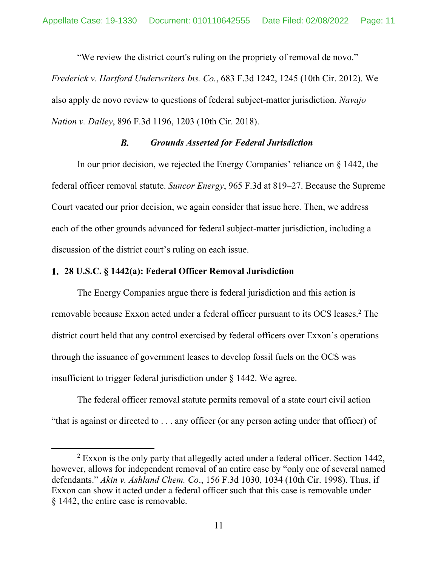"We review the district court's ruling on the propriety of removal de novo." *Frederick v. Hartford Underwriters Ins. Co.*, 683 F.3d 1242, 1245 (10th Cir. 2012). We also apply de novo review to questions of federal subject-matter jurisdiction. *Navajo Nation v. Dalley*, 896 F.3d 1196, 1203 (10th Cir. 2018).

### $\boldsymbol{B}$ . *Grounds Asserted for Federal Jurisdiction*

In our prior decision, we rejected the Energy Companies' reliance on § 1442, the federal officer removal statute. *Suncor Energy*, 965 F.3d at 819–27. Because the Supreme Court vacated our prior decision, we again consider that issue here. Then, we address each of the other grounds advanced for federal subject-matter jurisdiction, including a discussion of the district court's ruling on each issue.

## **28 U.S.C. § 1442(a): Federal Officer Removal Jurisdiction**

The Energy Companies argue there is federal jurisdiction and this action is removable because Exxon acted under a federal officer pursuant to its OCS leases.<sup>2</sup> The district court held that any control exercised by federal officers over Exxon's operations through the issuance of government leases to develop fossil fuels on the OCS was insufficient to trigger federal jurisdiction under § 1442. We agree.

The federal officer removal statute permits removal of a state court civil action "that is against or directed to . . . any officer (or any person acting under that officer) of

 $2$  Exxon is the only party that allegedly acted under a federal officer. Section 1442, however, allows for independent removal of an entire case by "only one of several named defendants." *Akin v. Ashland Chem. Co*., 156 F.3d 1030, 1034 (10th Cir. 1998). Thus, if Exxon can show it acted under a federal officer such that this case is removable under § 1442, the entire case is removable.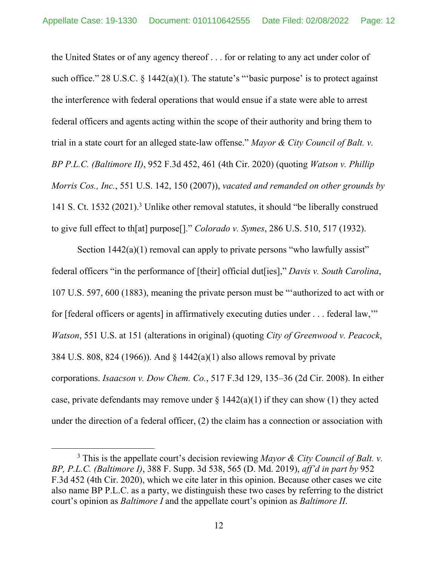the United States or of any agency thereof . . . for or relating to any act under color of such office." 28 U.S.C.  $\S$  1442(a)(1). The statute's "basic purpose' is to protect against the interference with federal operations that would ensue if a state were able to arrest federal officers and agents acting within the scope of their authority and bring them to trial in a state court for an alleged state-law offense." *Mayor & City Council of Balt. v. BP P.L.C. (Baltimore II)*, 952 F.3d 452, 461 (4th Cir. 2020) (quoting *Watson v. Phillip Morris Cos., Inc.*, 551 U.S. 142, 150 (2007)), *vacated and remanded on other grounds by* 141 S. Ct. 1532 (2021).3 Unlike other removal statutes, it should "be liberally construed to give full effect to th[at] purpose[]." *Colorado v. Symes*, 286 U.S. 510, 517 (1932).

Section  $1442(a)(1)$  removal can apply to private persons "who lawfully assist" federal officers "in the performance of [their] official dut[ies]," *Davis v. South Carolina*, 107 U.S. 597, 600 (1883), meaning the private person must be "'authorized to act with or for [federal officers or agents] in affirmatively executing duties under . . . federal law,'" *Watson*, 551 U.S. at 151 (alterations in original) (quoting *City of Greenwood v. Peacock*, 384 U.S. 808, 824 (1966)). And § 1442(a)(1) also allows removal by private corporations. *Isaacson v. Dow Chem. Co.*, 517 F.3d 129, 135–36 (2d Cir. 2008). In either case, private defendants may remove under  $\S 1442(a)(1)$  if they can show (1) they acted under the direction of a federal officer, (2) the claim has a connection or association with

<sup>3</sup> This is the appellate court's decision reviewing *Mayor & City Council of Balt. v. BP, P.L.C. (Baltimore I)*, 388 F. Supp. 3d 538, 565 (D. Md. 2019), *aff'd in part by* 952 F.3d 452 (4th Cir. 2020), which we cite later in this opinion. Because other cases we cite also name BP P.L.C. as a party, we distinguish these two cases by referring to the district court's opinion as *Baltimore I* and the appellate court's opinion as *Baltimore II*.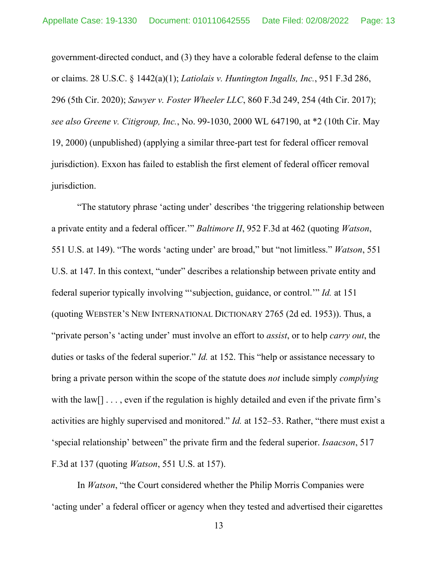government-directed conduct, and (3) they have a colorable federal defense to the claim or claims. 28 U.S.C. § 1442(a)(1); *Latiolais v. Huntington Ingalls, Inc.*, 951 F.3d 286, 296 (5th Cir. 2020); *Sawyer v. Foster Wheeler LLC*, 860 F.3d 249, 254 (4th Cir. 2017); *see also Greene v. Citigroup, Inc.*, No. 99-1030, 2000 WL 647190, at \*2 (10th Cir. May 19, 2000) (unpublished) (applying a similar three-part test for federal officer removal jurisdiction). Exxon has failed to establish the first element of federal officer removal jurisdiction.

"The statutory phrase 'acting under' describes 'the triggering relationship between a private entity and a federal officer.'" *Baltimore II*, 952 F.3d at 462 (quoting *Watson*, 551 U.S. at 149). "The words 'acting under' are broad," but "not limitless." *Watson*, 551 U.S. at 147. In this context, "under" describes a relationship between private entity and federal superior typically involving "'subjection, guidance, or control.'" *Id.* at 151 (quoting WEBSTER'S NEW INTERNATIONAL DICTIONARY 2765 (2d ed. 1953)). Thus, a "private person's 'acting under' must involve an effort to *assist*, or to help *carry out*, the duties or tasks of the federal superior." *Id.* at 152. This "help or assistance necessary to bring a private person within the scope of the statute does *not* include simply *complying*  with the  $law[] \ldots$ , even if the regulation is highly detailed and even if the private firm's activities are highly supervised and monitored." *Id.* at 152–53. Rather, "there must exist a 'special relationship' between" the private firm and the federal superior. *Isaacson*, 517 F.3d at 137 (quoting *Watson*, 551 U.S. at 157).

In *Watson*, "the Court considered whether the Philip Morris Companies were 'acting under' a federal officer or agency when they tested and advertised their cigarettes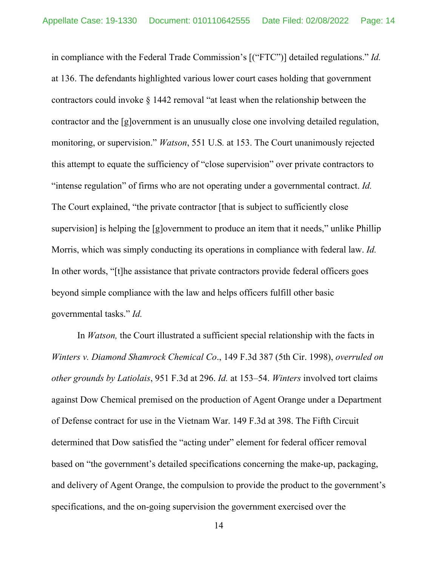in compliance with the Federal Trade Commission's [("FTC")] detailed regulations." *Id.* at 136. The defendants highlighted various lower court cases holding that government contractors could invoke § 1442 removal "at least when the relationship between the contractor and the [g]overnment is an unusually close one involving detailed regulation, monitoring, or supervision." *Watson*, 551 U.S*.* at 153. The Court unanimously rejected this attempt to equate the sufficiency of "close supervision" over private contractors to "intense regulation" of firms who are not operating under a governmental contract. *Id.* The Court explained, "the private contractor [that is subject to sufficiently close supervision] is helping the [g]overnment to produce an item that it needs," unlike Phillip Morris, which was simply conducting its operations in compliance with federal law. *Id.* In other words, "[t]he assistance that private contractors provide federal officers goes beyond simple compliance with the law and helps officers fulfill other basic governmental tasks." *Id.*

In *Watson,* the Court illustrated a sufficient special relationship with the facts in *Winters v. Diamond Shamrock Chemical Co*., 149 F.3d 387 (5th Cir. 1998), *overruled on other grounds by Latiolais*, 951 F.3d at 296. *Id.* at 153–54. *Winters* involved tort claims against Dow Chemical premised on the production of Agent Orange under a Department of Defense contract for use in the Vietnam War. 149 F.3d at 398. The Fifth Circuit determined that Dow satisfied the "acting under" element for federal officer removal based on "the government's detailed specifications concerning the make-up, packaging, and delivery of Agent Orange, the compulsion to provide the product to the government's specifications, and the on-going supervision the government exercised over the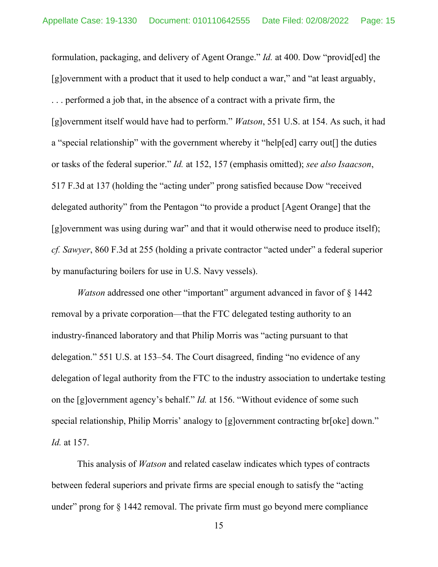formulation, packaging, and delivery of Agent Orange." *Id.* at 400. Dow "provid[ed] the [g]overnment with a product that it used to help conduct a war," and "at least arguably, . . . performed a job that, in the absence of a contract with a private firm, the [g]overnment itself would have had to perform." *Watson*, 551 U.S. at 154. As such, it had a "special relationship" with the government whereby it "help[ed] carry out[] the duties or tasks of the federal superior." *Id.* at 152, 157 (emphasis omitted); *see also Isaacson*, 517 F.3d at 137 (holding the "acting under" prong satisfied because Dow "received delegated authority" from the Pentagon "to provide a product [Agent Orange] that the [g]overnment was using during war" and that it would otherwise need to produce itself); *cf. Sawyer*, 860 F.3d at 255 (holding a private contractor "acted under" a federal superior by manufacturing boilers for use in U.S. Navy vessels).

*Watson* addressed one other "important" argument advanced in favor of § 1442 removal by a private corporation—that the FTC delegated testing authority to an industry-financed laboratory and that Philip Morris was "acting pursuant to that delegation." 551 U.S. at 153–54. The Court disagreed, finding "no evidence of any delegation of legal authority from the FTC to the industry association to undertake testing on the [g]overnment agency's behalf." *Id.* at 156. "Without evidence of some such special relationship, Philip Morris' analogy to [g]overnment contracting br[oke] down." *Id.* at 157.

This analysis of *Watson* and related caselaw indicates which types of contracts between federal superiors and private firms are special enough to satisfy the "acting under" prong for § 1442 removal. The private firm must go beyond mere compliance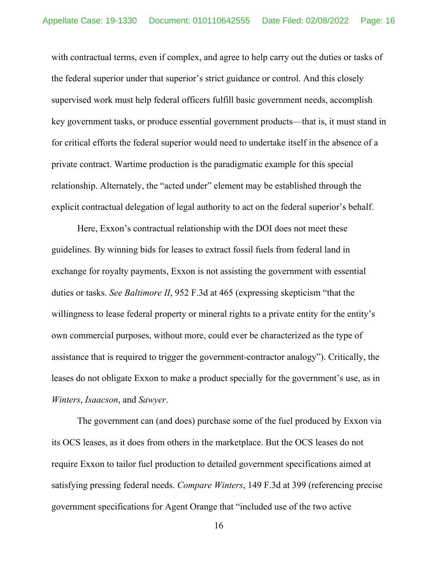with contractual terms, even if complex, and agree to help carry out the duties or tasks of the federal superior under that superior's strict guidance or control. And this closely supervised work must help federal officers fulfill basic government needs, accomplish key government tasks, or produce essential government products—that is, it must stand in for critical efforts the federal superior would need to undertake itself in the absence of a private contract. Wartime production is the paradigmatic example for this special relationship. Alternately, the "acted under" element may be established through the explicit contractual delegation of legal authority to act on the federal superior's behalf.

 Here, Exxon's contractual relationship with the DOI does not meet these guidelines. By winning bids for leases to extract fossil fuels from federal land in exchange for royalty payments, Exxon is not assisting the government with essential duties or tasks. *See Baltimore II*, 952 F.3d at 465 (expressing skepticism "that the willingness to lease federal property or mineral rights to a private entity for the entity's own commercial purposes, without more, could ever be characterized as the type of assistance that is required to trigger the government-contractor analogy"). Critically, the leases do not obligate Exxon to make a product specially for the government's use, as in *Winters*, *Isaacson*, and *Sawyer*.

The government can (and does) purchase some of the fuel produced by Exxon via its OCS leases, as it does from others in the marketplace. But the OCS leases do not require Exxon to tailor fuel production to detailed government specifications aimed at satisfying pressing federal needs. *Compare Winters*, 149 F.3d at 399 (referencing precise government specifications for Agent Orange that "included use of the two active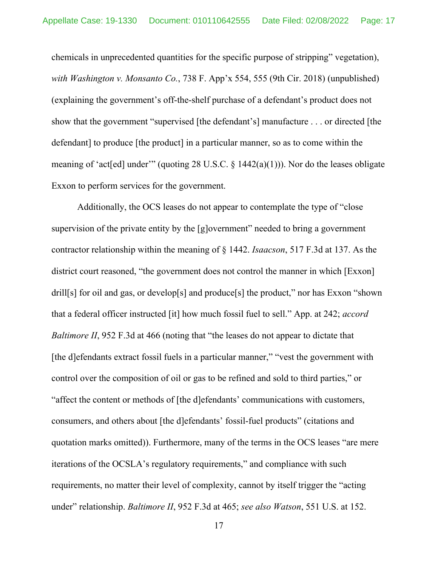chemicals in unprecedented quantities for the specific purpose of stripping" vegetation), *with Washington v. Monsanto Co.*, 738 F. App'x 554, 555 (9th Cir. 2018) (unpublished) (explaining the government's off-the-shelf purchase of a defendant's product does not show that the government "supervised [the defendant's] manufacture . . . or directed [the defendant] to produce [the product] in a particular manner, so as to come within the meaning of 'act[ed] under'" (quoting 28 U.S.C.  $\S$  1442(a)(1))). Nor do the leases obligate Exxon to perform services for the government.

Additionally, the OCS leases do not appear to contemplate the type of "close supervision of the private entity by the [g]overnment" needed to bring a government contractor relationship within the meaning of § 1442. *Isaacson*, 517 F.3d at 137. As the district court reasoned, "the government does not control the manner in which [Exxon] drill[s] for oil and gas, or develop[s] and produce[s] the product," nor has Exxon "shown" that a federal officer instructed [it] how much fossil fuel to sell." App. at 242; *accord Baltimore II*, 952 F.3d at 466 (noting that "the leases do not appear to dictate that [the d]efendants extract fossil fuels in a particular manner," "vest the government with control over the composition of oil or gas to be refined and sold to third parties," or "affect the content or methods of [the d]efendants' communications with customers, consumers, and others about [the d]efendants' fossil-fuel products" (citations and quotation marks omitted)). Furthermore, many of the terms in the OCS leases "are mere iterations of the OCSLA's regulatory requirements," and compliance with such requirements, no matter their level of complexity, cannot by itself trigger the "acting under" relationship. *Baltimore II*, 952 F.3d at 465; *see also Watson*, 551 U.S. at 152.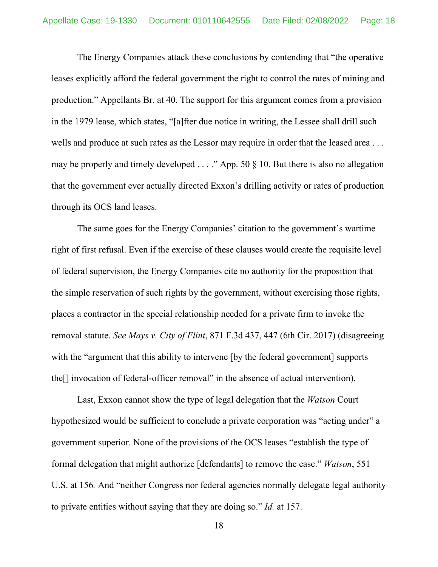The Energy Companies attack these conclusions by contending that "the operative leases explicitly afford the federal government the right to control the rates of mining and production." Appellants Br. at 40. The support for this argument comes from a provision in the 1979 lease, which states, "[a]fter due notice in writing, the Lessee shall drill such wells and produce at such rates as the Lessor may require in order that the leased area . . . may be properly and timely developed  $\ldots$ ." App. 50 § 10. But there is also no allegation that the government ever actually directed Exxon's drilling activity or rates of production through its OCS land leases.

The same goes for the Energy Companies' citation to the government's wartime right of first refusal. Even if the exercise of these clauses would create the requisite level of federal supervision, the Energy Companies cite no authority for the proposition that the simple reservation of such rights by the government, without exercising those rights, places a contractor in the special relationship needed for a private firm to invoke the removal statute. *See Mays v. City of Flint*, 871 F.3d 437, 447 (6th Cir. 2017) (disagreeing with the "argument that this ability to intervene [by the federal government] supports the[] invocation of federal-officer removal" in the absence of actual intervention).

Last, Exxon cannot show the type of legal delegation that the *Watson* Court hypothesized would be sufficient to conclude a private corporation was "acting under" a government superior. None of the provisions of the OCS leases "establish the type of formal delegation that might authorize [defendants] to remove the case." *Watson*, 551 U.S. at 156*.* And "neither Congress nor federal agencies normally delegate legal authority to private entities without saying that they are doing so." *Id.* at 157.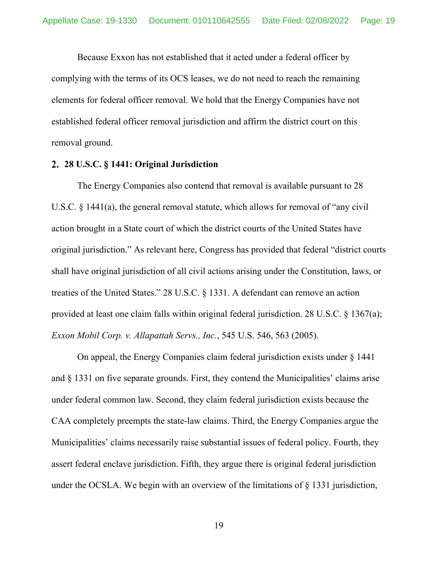Because Exxon has not established that it acted under a federal officer by complying with the terms of its OCS leases, we do not need to reach the remaining elements for federal officer removal. We hold that the Energy Companies have not established federal officer removal jurisdiction and affirm the district court on this removal ground.

# **28 U.S.C. § 1441: Original Jurisdiction**

The Energy Companies also contend that removal is available pursuant to 28 U.S.C. § 1441(a), the general removal statute, which allows for removal of "any civil action brought in a State court of which the district courts of the United States have original jurisdiction." As relevant here, Congress has provided that federal "district courts shall have original jurisdiction of all civil actions arising under the Constitution, laws, or treaties of the United States." 28 U.S.C. § 1331. A defendant can remove an action provided at least one claim falls within original federal jurisdiction. 28 U.S.C. § 1367(a); *Exxon Mobil Corp. v. Allapattah Servs., Inc.*, 545 U.S. 546, 563 (2005).

On appeal, the Energy Companies claim federal jurisdiction exists under § 1441 and § 1331 on five separate grounds. First, they contend the Municipalities' claims arise under federal common law. Second, they claim federal jurisdiction exists because the CAA completely preempts the state-law claims. Third, the Energy Companies argue the Municipalities' claims necessarily raise substantial issues of federal policy. Fourth, they assert federal enclave jurisdiction. Fifth, they argue there is original federal jurisdiction under the OCSLA. We begin with an overview of the limitations of § 1331 jurisdiction,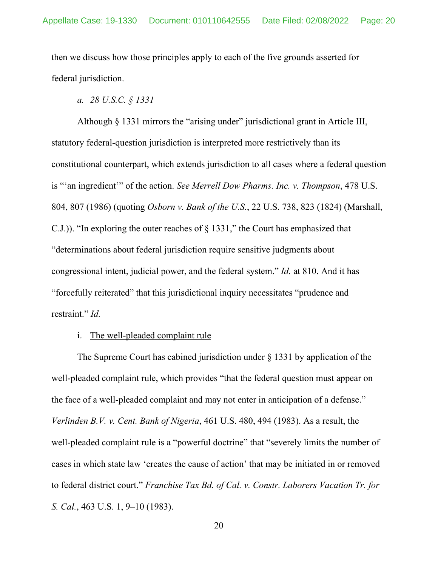then we discuss how those principles apply to each of the five grounds asserted for federal jurisdiction.

*a. 28 U.S.C. § 1331* 

Although § 1331 mirrors the "arising under" jurisdictional grant in Article III, statutory federal-question jurisdiction is interpreted more restrictively than its constitutional counterpart, which extends jurisdiction to all cases where a federal question is "'an ingredient'" of the action. *See Merrell Dow Pharms. Inc. v. Thompson*, 478 U.S. 804, 807 (1986) (quoting *Osborn v. Bank of the U.S.*, 22 U.S. 738, 823 (1824) (Marshall, C.J.)). "In exploring the outer reaches of § 1331," the Court has emphasized that "determinations about federal jurisdiction require sensitive judgments about congressional intent, judicial power, and the federal system." *Id.* at 810. And it has "forcefully reiterated" that this jurisdictional inquiry necessitates "prudence and restraint." *Id.*

# i. The well-pleaded complaint rule

The Supreme Court has cabined jurisdiction under  $\S$  1331 by application of the well-pleaded complaint rule, which provides "that the federal question must appear on the face of a well-pleaded complaint and may not enter in anticipation of a defense." *Verlinden B.V. v. Cent. Bank of Nigeria*, 461 U.S. 480, 494 (1983). As a result, the well-pleaded complaint rule is a "powerful doctrine" that "severely limits the number of cases in which state law 'creates the cause of action' that may be initiated in or removed to federal district court." *Franchise Tax Bd. of Cal. v. Constr. Laborers Vacation Tr. for S. Cal.*, 463 U.S. 1, 9–10 (1983).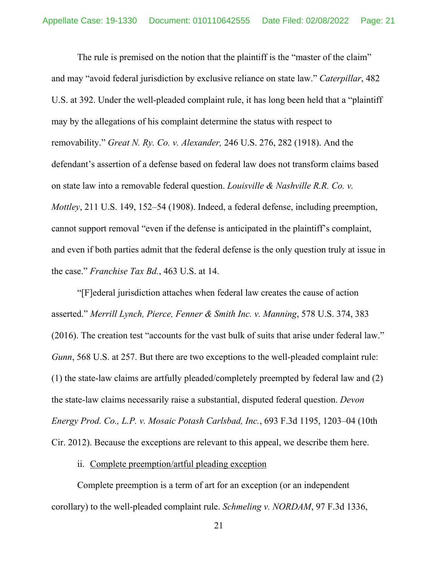The rule is premised on the notion that the plaintiff is the "master of the claim" and may "avoid federal jurisdiction by exclusive reliance on state law." *Caterpillar*, 482 U.S. at 392. Under the well-pleaded complaint rule, it has long been held that a "plaintiff may by the allegations of his complaint determine the status with respect to removability." *Great N. Ry. Co. v. Alexander,* 246 U.S. 276, 282 (1918). And the defendant's assertion of a defense based on federal law does not transform claims based on state law into a removable federal question. *Louisville & Nashville R.R. Co. v. Mottley*, 211 U.S. 149, 152–54 (1908). Indeed, a federal defense, including preemption, cannot support removal "even if the defense is anticipated in the plaintiff's complaint, and even if both parties admit that the federal defense is the only question truly at issue in the case." *Franchise Tax Bd.*, 463 U.S. at 14.

 "[F]ederal jurisdiction attaches when federal law creates the cause of action asserted." *Merrill Lynch, Pierce, Fenner & Smith Inc. v. Manning*, 578 U.S. 374, 383 (2016). The creation test "accounts for the vast bulk of suits that arise under federal law." *Gunn*, 568 U.S. at 257. But there are two exceptions to the well-pleaded complaint rule: (1) the state-law claims are artfully pleaded/completely preempted by federal law and (2) the state-law claims necessarily raise a substantial, disputed federal question. *Devon Energy Prod. Co., L.P. v. Mosaic Potash Carlsbad, Inc.*, 693 F.3d 1195, 1203–04 (10th Cir. 2012). Because the exceptions are relevant to this appeal, we describe them here.

# ii. Complete preemption/artful pleading exception

Complete preemption is a term of art for an exception (or an independent corollary) to the well-pleaded complaint rule. *Schmeling v. NORDAM*, 97 F.3d 1336,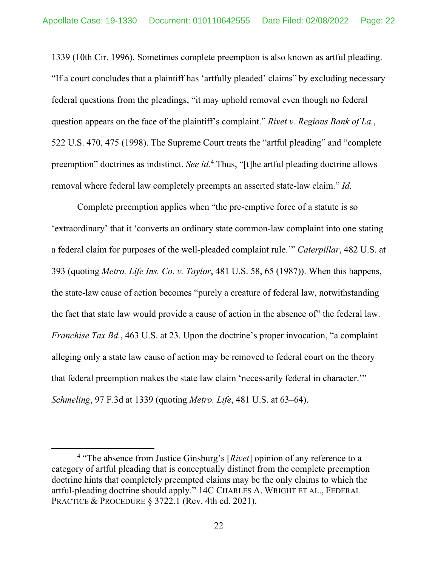1339 (10th Cir. 1996). Sometimes complete preemption is also known as artful pleading. "If a court concludes that a plaintiff has 'artfully pleaded' claims" by excluding necessary federal questions from the pleadings, "it may uphold removal even though no federal question appears on the face of the plaintiff's complaint." *Rivet v. Regions Bank of La.*, 522 U.S. 470, 475 (1998). The Supreme Court treats the "artful pleading" and "complete preemption" doctrines as indistinct. *See id.*<sup>4</sup> Thus, "[t]he artful pleading doctrine allows removal where federal law completely preempts an asserted state-law claim." *Id.*

Complete preemption applies when "the pre-emptive force of a statute is so 'extraordinary' that it 'converts an ordinary state common-law complaint into one stating a federal claim for purposes of the well-pleaded complaint rule.'" *Caterpillar*, 482 U.S. at 393 (quoting *Metro. Life Ins. Co. v. Taylor*, 481 U.S. 58, 65 (1987)). When this happens, the state-law cause of action becomes "purely a creature of federal law, notwithstanding the fact that state law would provide a cause of action in the absence of" the federal law. *Franchise Tax Bd.*, 463 U.S. at 23. Upon the doctrine's proper invocation, "a complaint alleging only a state law cause of action may be removed to federal court on the theory that federal preemption makes the state law claim 'necessarily federal in character.'" *Schmeling*, 97 F.3d at 1339 (quoting *Metro. Life*, 481 U.S. at 63–64).

<sup>&</sup>lt;sup>4</sup> "The absence from Justice Ginsburg's [Rivet] opinion of any reference to a category of artful pleading that is conceptually distinct from the complete preemption doctrine hints that completely preempted claims may be the only claims to which the artful-pleading doctrine should apply." 14C CHARLES A. WRIGHT ET AL., FEDERAL PRACTICE & PROCEDURE § 3722.1 (Rev. 4th ed. 2021).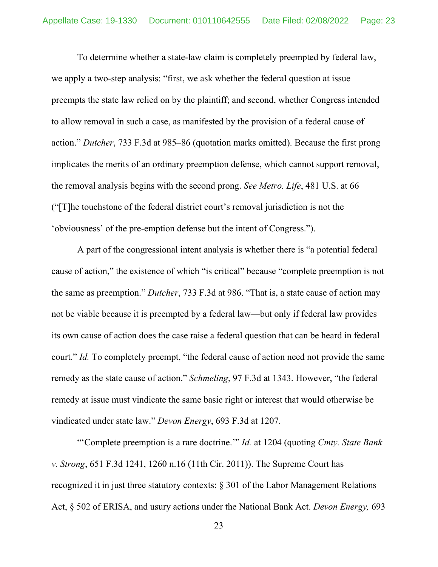To determine whether a state-law claim is completely preempted by federal law, we apply a two-step analysis: "first, we ask whether the federal question at issue preempts the state law relied on by the plaintiff; and second, whether Congress intended to allow removal in such a case, as manifested by the provision of a federal cause of action." *Dutcher*, 733 F.3d at 985–86 (quotation marks omitted). Because the first prong implicates the merits of an ordinary preemption defense, which cannot support removal, the removal analysis begins with the second prong. *See Metro. Life*, 481 U.S. at 66 ("[T]he touchstone of the federal district court's removal jurisdiction is not the 'obviousness' of the pre-emption defense but the intent of Congress.").

A part of the congressional intent analysis is whether there is "a potential federal cause of action," the existence of which "is critical" because "complete preemption is not the same as preemption." *Dutcher*, 733 F.3d at 986. "That is, a state cause of action may not be viable because it is preempted by a federal law—but only if federal law provides its own cause of action does the case raise a federal question that can be heard in federal court." *Id.* To completely preempt, "the federal cause of action need not provide the same remedy as the state cause of action." *Schmeling*, 97 F.3d at 1343. However, "the federal remedy at issue must vindicate the same basic right or interest that would otherwise be vindicated under state law." *Devon Energy*, 693 F.3d at 1207.

"'Complete preemption is a rare doctrine.'" *Id.* at 1204 (quoting *Cmty. State Bank v. Strong*, 651 F.3d 1241, 1260 n.16 (11th Cir. 2011)). The Supreme Court has recognized it in just three statutory contexts: § 301 of the Labor Management Relations Act, § 502 of ERISA, and usury actions under the National Bank Act. *Devon Energy,* 693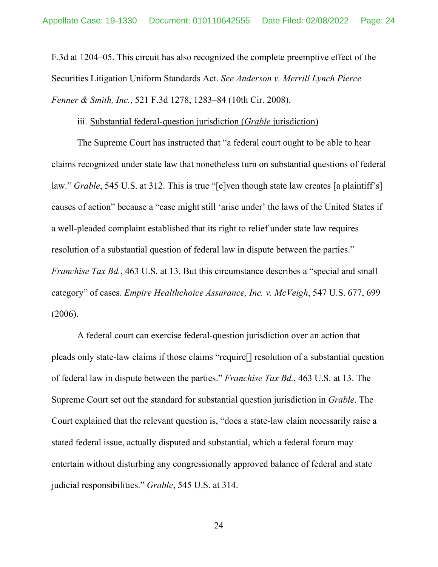F.3d at 1204–05. This circuit has also recognized the complete preemptive effect of the Securities Litigation Uniform Standards Act. *See Anderson v. Merrill Lynch Pierce Fenner & Smith, Inc.*, 521 F.3d 1278, 1283–84 (10th Cir. 2008).

### iii. Substantial federal-question jurisdiction (*Grable* jurisdiction)

The Supreme Court has instructed that "a federal court ought to be able to hear claims recognized under state law that nonetheless turn on substantial questions of federal law." *Grable*, 545 U.S. at 312. This is true "[e]ven though state law creates [a plaintiff's] causes of action" because a "case might still 'arise under' the laws of the United States if a well-pleaded complaint established that its right to relief under state law requires resolution of a substantial question of federal law in dispute between the parties." *Franchise Tax Bd.*, 463 U.S. at 13. But this circumstance describes a "special and small category" of cases. *Empire Healthchoice Assurance, Inc. v. McVeigh*, 547 U.S. 677, 699 (2006).

A federal court can exercise federal-question jurisdiction over an action that pleads only state-law claims if those claims "require[] resolution of a substantial question of federal law in dispute between the parties." *Franchise Tax Bd.*, 463 U.S. at 13. The Supreme Court set out the standard for substantial question jurisdiction in *Grable*. The Court explained that the relevant question is, "does a state-law claim necessarily raise a stated federal issue, actually disputed and substantial, which a federal forum may entertain without disturbing any congressionally approved balance of federal and state judicial responsibilities." *Grable*, 545 U.S. at 314.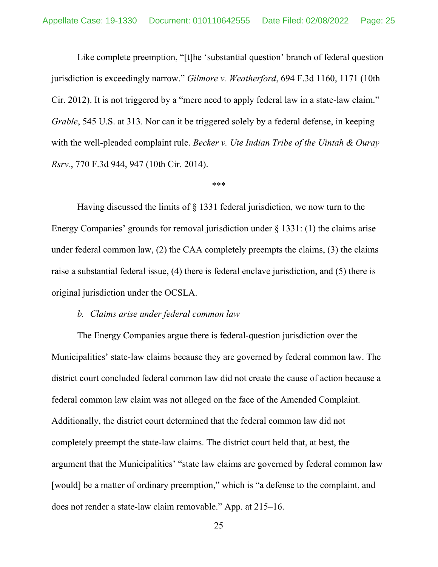Like complete preemption, "[t]he 'substantial question' branch of federal question jurisdiction is exceedingly narrow." *Gilmore v. Weatherford*, 694 F.3d 1160, 1171 (10th Cir. 2012). It is not triggered by a "mere need to apply federal law in a state-law claim." *Grable*, 545 U.S. at 313. Nor can it be triggered solely by a federal defense, in keeping with the well-pleaded complaint rule. *Becker v. Ute Indian Tribe of the Uintah & Ouray Rsrv.*, 770 F.3d 944, 947 (10th Cir. 2014).

### \*\*\*

Having discussed the limits of § 1331 federal jurisdiction, we now turn to the Energy Companies' grounds for removal jurisdiction under § 1331: (1) the claims arise under federal common law, (2) the CAA completely preempts the claims, (3) the claims raise a substantial federal issue, (4) there is federal enclave jurisdiction, and (5) there is original jurisdiction under the OCSLA.

### *b. Claims arise under federal common law*

The Energy Companies argue there is federal-question jurisdiction over the Municipalities' state-law claims because they are governed by federal common law. The district court concluded federal common law did not create the cause of action because a federal common law claim was not alleged on the face of the Amended Complaint. Additionally, the district court determined that the federal common law did not completely preempt the state-law claims. The district court held that, at best, the argument that the Municipalities' "state law claims are governed by federal common law [would] be a matter of ordinary preemption," which is "a defense to the complaint, and does not render a state-law claim removable." App. at 215–16.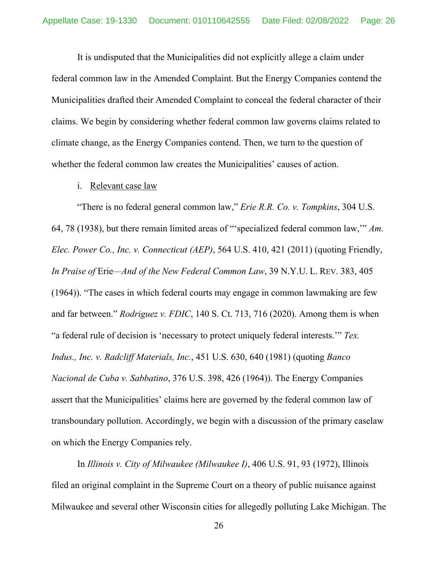It is undisputed that the Municipalities did not explicitly allege a claim under federal common law in the Amended Complaint. But the Energy Companies contend the Municipalities drafted their Amended Complaint to conceal the federal character of their claims. We begin by considering whether federal common law governs claims related to climate change, as the Energy Companies contend. Then, we turn to the question of whether the federal common law creates the Municipalities' causes of action.

### i. Relevant case law

"There is no federal general common law," *Erie R.R. Co. v. Tompkins*, 304 U.S. 64, 78 (1938), but there remain limited areas of "'specialized federal common law,'" *Am. Elec. Power Co., Inc. v. Connecticut (AEP)*, 564 U.S. 410, 421 (2011) (quoting Friendly, *In Praise of* Erie*—And of the New Federal Common Law*, 39 N.Y.U. L. REV. 383, 405 (1964)). "The cases in which federal courts may engage in common lawmaking are few and far between." *Rodriguez v. FDIC*, 140 S. Ct. 713, 716 (2020). Among them is when "a federal rule of decision is 'necessary to protect uniquely federal interests.'" *Tex. Indus., Inc. v. Radcliff Materials, Inc.*, 451 U.S. 630, 640 (1981) (quoting *Banco Nacional de Cuba v. Sabbatino*, 376 U.S. 398, 426 (1964)). The Energy Companies assert that the Municipalities' claims here are governed by the federal common law of transboundary pollution. Accordingly, we begin with a discussion of the primary caselaw on which the Energy Companies rely.

 In *Illinois v. City of Milwaukee (Milwaukee I)*, 406 U.S. 91, 93 (1972), Illinois filed an original complaint in the Supreme Court on a theory of public nuisance against Milwaukee and several other Wisconsin cities for allegedly polluting Lake Michigan. The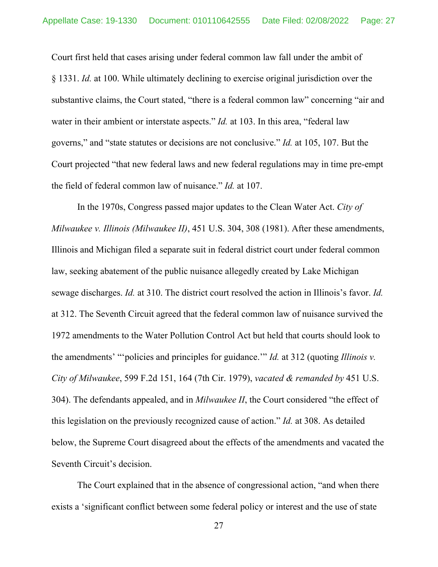Court first held that cases arising under federal common law fall under the ambit of § 1331. *Id.* at 100. While ultimately declining to exercise original jurisdiction over the substantive claims, the Court stated, "there is a federal common law" concerning "air and water in their ambient or interstate aspects." *Id.* at 103. In this area, "federal law governs," and "state statutes or decisions are not conclusive." *Id.* at 105, 107. But the Court projected "that new federal laws and new federal regulations may in time pre-empt the field of federal common law of nuisance." *Id.* at 107.

 In the 1970s, Congress passed major updates to the Clean Water Act. *City of Milwaukee v. Illinois (Milwaukee II)*, 451 U.S. 304, 308 (1981). After these amendments, Illinois and Michigan filed a separate suit in federal district court under federal common law, seeking abatement of the public nuisance allegedly created by Lake Michigan sewage discharges. *Id.* at 310. The district court resolved the action in Illinois's favor. *Id.* at 312. The Seventh Circuit agreed that the federal common law of nuisance survived the 1972 amendments to the Water Pollution Control Act but held that courts should look to the amendments' "'policies and principles for guidance.'" *Id.* at 312 (quoting *Illinois v. City of Milwaukee*, 599 F.2d 151, 164 (7th Cir. 1979), *vacated & remanded by* 451 U.S. 304). The defendants appealed, and in *Milwaukee II*, the Court considered "the effect of this legislation on the previously recognized cause of action." *Id.* at 308. As detailed below, the Supreme Court disagreed about the effects of the amendments and vacated the Seventh Circuit's decision.

 The Court explained that in the absence of congressional action, "and when there exists a 'significant conflict between some federal policy or interest and the use of state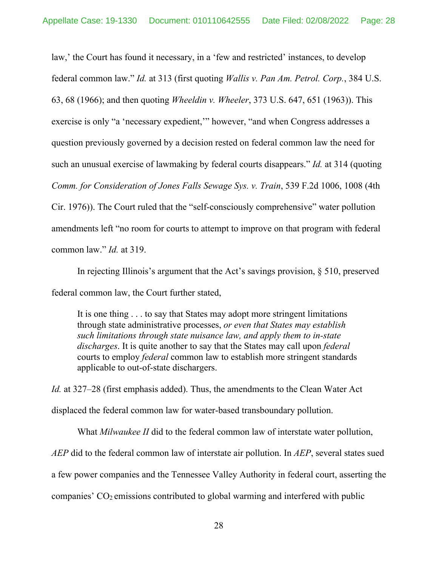law,' the Court has found it necessary, in a 'few and restricted' instances, to develop federal common law." *Id.* at 313 (first quoting *Wallis v. Pan Am. Petrol. Corp.*, 384 U.S. 63, 68 (1966); and then quoting *Wheeldin v. Wheeler*, 373 U.S. 647, 651 (1963)). This exercise is only "a 'necessary expedient,'" however, "and when Congress addresses a question previously governed by a decision rested on federal common law the need for such an unusual exercise of lawmaking by federal courts disappears." *Id.* at 314 (quoting *Comm. for Consideration of Jones Falls Sewage Sys. v. Train*, 539 F.2d 1006, 1008 (4th Cir. 1976)). The Court ruled that the "self-consciously comprehensive" water pollution amendments left "no room for courts to attempt to improve on that program with federal common law." *Id.* at 319.

 In rejecting Illinois's argument that the Act's savings provision, § 510, preserved federal common law, the Court further stated,

It is one thing . . . to say that States may adopt more stringent limitations through state administrative processes, *or even that States may establish such limitations through state nuisance law, and apply them to in-state discharges*. It is quite another to say that the States may call upon *federal* courts to employ *federal* common law to establish more stringent standards applicable to out-of-state dischargers.

*Id.* at 327–28 (first emphasis added). Thus, the amendments to the Clean Water Act displaced the federal common law for water-based transboundary pollution.

What *Milwaukee II* did to the federal common law of interstate water pollution, *AEP* did to the federal common law of interstate air pollution. In *AEP*, several states sued a few power companies and the Tennessee Valley Authority in federal court, asserting the companies'  $CO<sub>2</sub>$  emissions contributed to global warming and interfered with public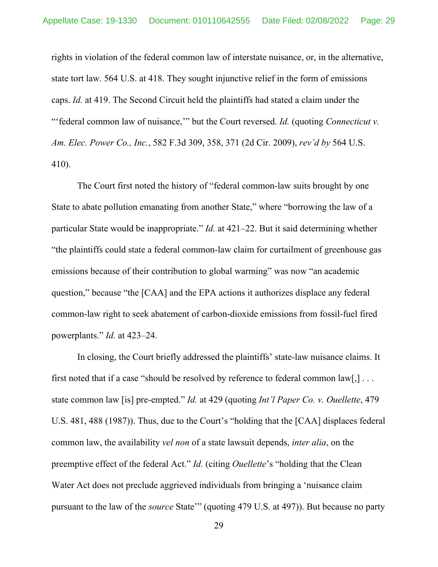rights in violation of the federal common law of interstate nuisance, or, in the alternative, state tort law. 564 U.S. at 418. They sought injunctive relief in the form of emissions caps. *Id.* at 419. The Second Circuit held the plaintiffs had stated a claim under the "'federal common law of nuisance," but the Court reversed. *Id.* (quoting *Connecticut v. Am. Elec. Power Co., Inc.*, 582 F.3d 309, 358, 371 (2d Cir. 2009), *rev'd by* 564 U.S. 410).

The Court first noted the history of "federal common-law suits brought by one State to abate pollution emanating from another State," where "borrowing the law of a particular State would be inappropriate." *Id.* at 421–22. But it said determining whether "the plaintiffs could state a federal common-law claim for curtailment of greenhouse gas emissions because of their contribution to global warming" was now "an academic question," because "the [CAA] and the EPA actions it authorizes displace any federal common-law right to seek abatement of carbon-dioxide emissions from fossil-fuel fired powerplants." *Id.* at 423–24.

 In closing, the Court briefly addressed the plaintiffs' state-law nuisance claims. It first noted that if a case "should be resolved by reference to federal common law[,] . . . state common law [is] pre-empted." *Id.* at 429 (quoting *Int'l Paper Co. v. Ouellette*, 479 U.S. 481, 488 (1987)). Thus, due to the Court's "holding that the [CAA] displaces federal common law, the availability *vel non* of a state lawsuit depends, *inter alia*, on the preemptive effect of the federal Act." *Id.* (citing *Ouellette*'s "holding that the Clean Water Act does not preclude aggrieved individuals from bringing a 'nuisance claim pursuant to the law of the *source* State'" (quoting 479 U.S. at 497)). But because no party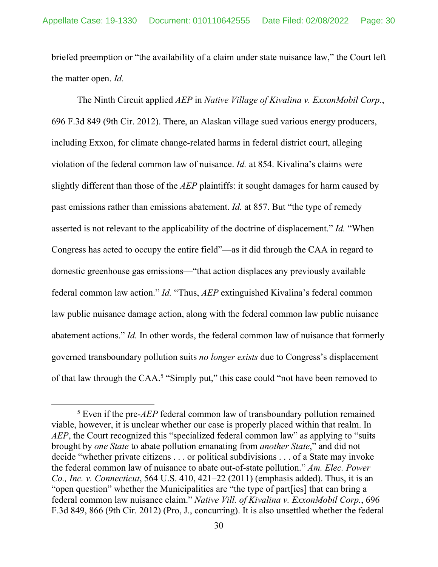briefed preemption or "the availability of a claim under state nuisance law," the Court left the matter open. *Id.* 

 The Ninth Circuit applied *AEP* in *Native Village of Kivalina v. ExxonMobil Corp.*, 696 F.3d 849 (9th Cir. 2012). There, an Alaskan village sued various energy producers, including Exxon, for climate change-related harms in federal district court, alleging violation of the federal common law of nuisance. *Id.* at 854. Kivalina's claims were slightly different than those of the *AEP* plaintiffs: it sought damages for harm caused by past emissions rather than emissions abatement. *Id.* at 857. But "the type of remedy asserted is not relevant to the applicability of the doctrine of displacement." *Id.* "When Congress has acted to occupy the entire field"—as it did through the CAA in regard to domestic greenhouse gas emissions—"that action displaces any previously available federal common law action." *Id.* "Thus, *AEP* extinguished Kivalina's federal common law public nuisance damage action, along with the federal common law public nuisance abatement actions." *Id.* In other words, the federal common law of nuisance that formerly governed transboundary pollution suits *no longer exists* due to Congress's displacement of that law through the CAA.<sup>5</sup> "Simply put," this case could "not have been removed to

<sup>5</sup> Even if the pre-*AEP* federal common law of transboundary pollution remained viable, however, it is unclear whether our case is properly placed within that realm. In *AEP*, the Court recognized this "specialized federal common law" as applying to "suits brought by *one State* to abate pollution emanating from *another State*," and did not decide "whether private citizens . . . or political subdivisions . . . of a State may invoke the federal common law of nuisance to abate out-of-state pollution." *Am. Elec. Power Co., Inc. v. Connecticut*, 564 U.S. 410, 421–22 (2011) (emphasis added). Thus, it is an "open question" whether the Municipalities are "the type of part[ies] that can bring a federal common law nuisance claim." *Native Vill. of Kivalina v. ExxonMobil Corp.*, 696 F.3d 849, 866 (9th Cir. 2012) (Pro, J., concurring). It is also unsettled whether the federal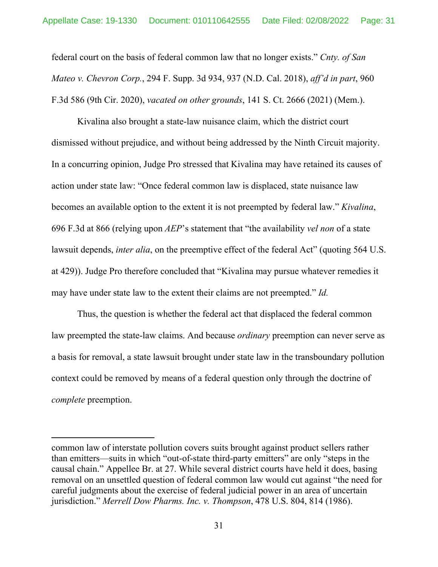federal court on the basis of federal common law that no longer exists." *Cnty. of San Mateo v. Chevron Corp.*, 294 F. Supp. 3d 934, 937 (N.D. Cal. 2018), *aff'd in part*, 960 F.3d 586 (9th Cir. 2020), *vacated on other grounds*, 141 S. Ct. 2666 (2021) (Mem.).

Kivalina also brought a state-law nuisance claim, which the district court dismissed without prejudice, and without being addressed by the Ninth Circuit majority. In a concurring opinion, Judge Pro stressed that Kivalina may have retained its causes of action under state law: "Once federal common law is displaced, state nuisance law becomes an available option to the extent it is not preempted by federal law." *Kivalina*, 696 F.3d at 866 (relying upon *AEP*'s statement that "the availability *vel non* of a state lawsuit depends, *inter alia*, on the preemptive effect of the federal Act" (quoting 564 U.S. at 429)). Judge Pro therefore concluded that "Kivalina may pursue whatever remedies it may have under state law to the extent their claims are not preempted." *Id.* 

Thus, the question is whether the federal act that displaced the federal common law preempted the state-law claims. And because *ordinary* preemption can never serve as a basis for removal, a state lawsuit brought under state law in the transboundary pollution context could be removed by means of a federal question only through the doctrine of *complete* preemption.

common law of interstate pollution covers suits brought against product sellers rather than emitters—suits in which "out-of-state third-party emitters" are only "steps in the causal chain." Appellee Br. at 27. While several district courts have held it does, basing removal on an unsettled question of federal common law would cut against "the need for careful judgments about the exercise of federal judicial power in an area of uncertain jurisdiction." *Merrell Dow Pharms. Inc. v. Thompson*, 478 U.S. 804, 814 (1986).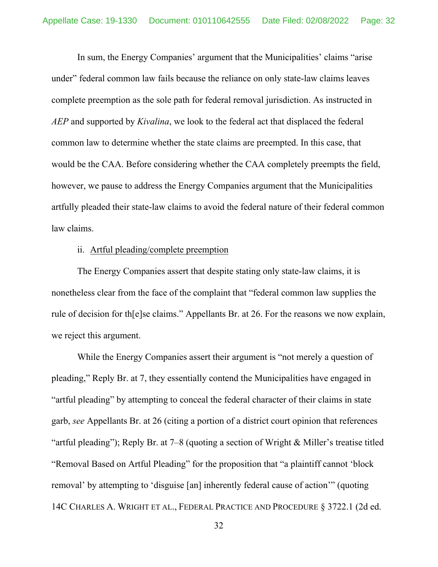In sum, the Energy Companies' argument that the Municipalities' claims "arise under" federal common law fails because the reliance on only state-law claims leaves complete preemption as the sole path for federal removal jurisdiction. As instructed in *AEP* and supported by *Kivalina*, we look to the federal act that displaced the federal common law to determine whether the state claims are preempted. In this case, that would be the CAA. Before considering whether the CAA completely preempts the field, however, we pause to address the Energy Companies argument that the Municipalities artfully pleaded their state-law claims to avoid the federal nature of their federal common law claims.

# ii. Artful pleading/complete preemption

The Energy Companies assert that despite stating only state-law claims, it is nonetheless clear from the face of the complaint that "federal common law supplies the rule of decision for th[e]se claims." Appellants Br. at 26. For the reasons we now explain, we reject this argument.

While the Energy Companies assert their argument is "not merely a question of pleading," Reply Br. at 7, they essentially contend the Municipalities have engaged in "artful pleading" by attempting to conceal the federal character of their claims in state garb, *see* Appellants Br. at 26 (citing a portion of a district court opinion that references "artful pleading"); Reply Br. at 7–8 (quoting a section of Wright & Miller's treatise titled "Removal Based on Artful Pleading" for the proposition that "a plaintiff cannot 'block removal' by attempting to 'disguise [an] inherently federal cause of action'" (quoting 14C CHARLES A. WRIGHT ET AL., FEDERAL PRACTICE AND PROCEDURE § 3722.1 (2d ed.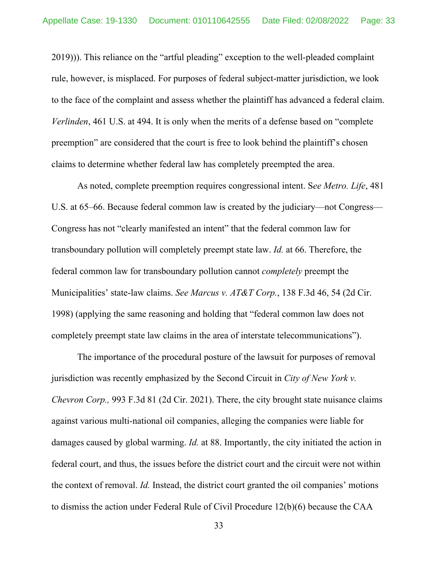2019))). This reliance on the "artful pleading" exception to the well-pleaded complaint rule, however, is misplaced. For purposes of federal subject-matter jurisdiction, we look to the face of the complaint and assess whether the plaintiff has advanced a federal claim. *Verlinden*, 461 U.S. at 494. It is only when the merits of a defense based on "complete preemption" are considered that the court is free to look behind the plaintiff's chosen claims to determine whether federal law has completely preempted the area.

As noted, complete preemption requires congressional intent. S*ee Metro. Life*, 481 U.S. at 65–66. Because federal common law is created by the judiciary—not Congress— Congress has not "clearly manifested an intent" that the federal common law for transboundary pollution will completely preempt state law. *Id.* at 66. Therefore, the federal common law for transboundary pollution cannot *completely* preempt the Municipalities' state-law claims. *See Marcus v. AT&T Corp.*, 138 F.3d 46, 54 (2d Cir. 1998) (applying the same reasoning and holding that "federal common law does not completely preempt state law claims in the area of interstate telecommunications").

The importance of the procedural posture of the lawsuit for purposes of removal jurisdiction was recently emphasized by the Second Circuit in *City of New York v. Chevron Corp.,* 993 F.3d 81 (2d Cir. 2021). There, the city brought state nuisance claims against various multi-national oil companies, alleging the companies were liable for damages caused by global warming. *Id.* at 88. Importantly, the city initiated the action in federal court, and thus, the issues before the district court and the circuit were not within the context of removal. *Id.* Instead, the district court granted the oil companies' motions to dismiss the action under Federal Rule of Civil Procedure 12(b)(6) because the CAA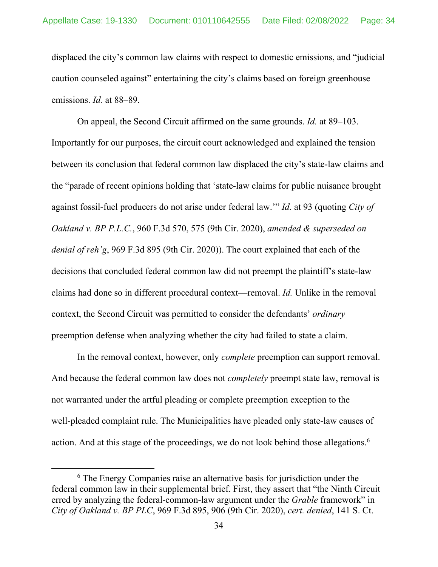displaced the city's common law claims with respect to domestic emissions, and "judicial caution counseled against" entertaining the city's claims based on foreign greenhouse emissions. *Id.* at 88–89.

On appeal, the Second Circuit affirmed on the same grounds. *Id.* at 89–103. Importantly for our purposes, the circuit court acknowledged and explained the tension between its conclusion that federal common law displaced the city's state-law claims and the "parade of recent opinions holding that 'state-law claims for public nuisance brought against fossil-fuel producers do not arise under federal law.'" *Id.* at 93 (quoting *City of Oakland v. BP P.L.C.*, 960 F.3d 570, 575 (9th Cir. 2020), *amended & superseded on denial of reh'g*, 969 F.3d 895 (9th Cir. 2020)). The court explained that each of the decisions that concluded federal common law did not preempt the plaintiff's state-law claims had done so in different procedural context—removal. *Id.* Unlike in the removal context, the Second Circuit was permitted to consider the defendants' *ordinary* preemption defense when analyzing whether the city had failed to state a claim.

In the removal context, however, only *complete* preemption can support removal. And because the federal common law does not *completely* preempt state law, removal is not warranted under the artful pleading or complete preemption exception to the well-pleaded complaint rule. The Municipalities have pleaded only state-law causes of action. And at this stage of the proceedings, we do not look behind those allegations.<sup>6</sup>

<sup>&</sup>lt;sup>6</sup> The Energy Companies raise an alternative basis for jurisdiction under the federal common law in their supplemental brief. First, they assert that "the Ninth Circuit erred by analyzing the federal-common-law argument under the *Grable* framework" in *City of Oakland v. BP PLC*, 969 F.3d 895, 906 (9th Cir. 2020), *cert. denied*, 141 S. Ct.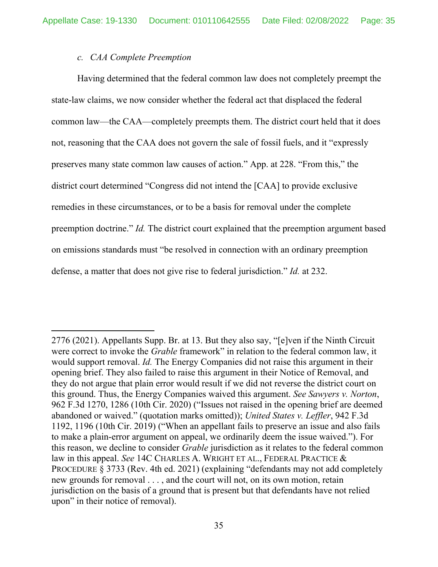## *c. CAA Complete Preemption*

Having determined that the federal common law does not completely preempt the state-law claims, we now consider whether the federal act that displaced the federal common law—the CAA—completely preempts them. The district court held that it does not, reasoning that the CAA does not govern the sale of fossil fuels, and it "expressly preserves many state common law causes of action." App. at 228. "From this," the district court determined "Congress did not intend the [CAA] to provide exclusive remedies in these circumstances, or to be a basis for removal under the complete preemption doctrine." *Id.* The district court explained that the preemption argument based on emissions standards must "be resolved in connection with an ordinary preemption defense, a matter that does not give rise to federal jurisdiction." *Id.* at 232.

<sup>2776 (2021).</sup> Appellants Supp. Br. at 13. But they also say, "[e]ven if the Ninth Circuit were correct to invoke the *Grable* framework" in relation to the federal common law, it would support removal. *Id.* The Energy Companies did not raise this argument in their opening brief. They also failed to raise this argument in their Notice of Removal, and they do not argue that plain error would result if we did not reverse the district court on this ground. Thus, the Energy Companies waived this argument. *See Sawyers v. Norton*, 962 F.3d 1270, 1286 (10th Cir. 2020) ("Issues not raised in the opening brief are deemed abandoned or waived." (quotation marks omitted)); *United States v. Leffler*, 942 F.3d 1192, 1196 (10th Cir. 2019) ("When an appellant fails to preserve an issue and also fails to make a plain-error argument on appeal, we ordinarily deem the issue waived."). For this reason, we decline to consider *Grable* jurisdiction as it relates to the federal common law in this appeal. *See* 14C CHARLES A. WRIGHT ET AL., FEDERAL PRACTICE & PROCEDURE § 3733 (Rev. 4th ed. 2021) (explaining "defendants may not add completely new grounds for removal . . . , and the court will not, on its own motion, retain jurisdiction on the basis of a ground that is present but that defendants have not relied upon" in their notice of removal).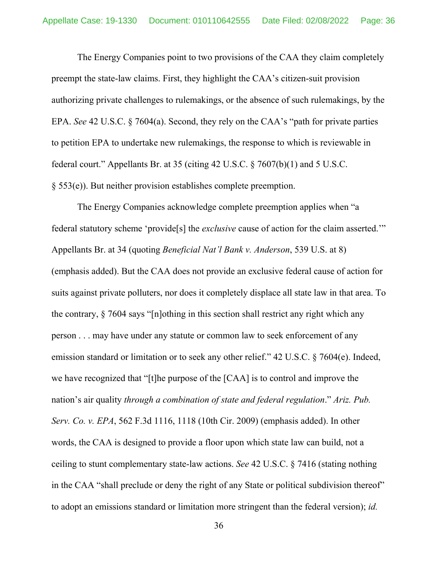The Energy Companies point to two provisions of the CAA they claim completely preempt the state-law claims. First, they highlight the CAA's citizen-suit provision authorizing private challenges to rulemakings, or the absence of such rulemakings, by the EPA. *See* 42 U.S.C. § 7604(a). Second, they rely on the CAA's "path for private parties to petition EPA to undertake new rulemakings, the response to which is reviewable in federal court." Appellants Br. at 35 (citing 42 U.S.C. § 7607(b)(1) and 5 U.S.C. § 553(e)). But neither provision establishes complete preemption.

The Energy Companies acknowledge complete preemption applies when "a federal statutory scheme 'provide[s] the *exclusive* cause of action for the claim asserted.'" Appellants Br. at 34 (quoting *Beneficial Nat'l Bank v. Anderson*, 539 U.S. at 8) (emphasis added). But the CAA does not provide an exclusive federal cause of action for suits against private polluters, nor does it completely displace all state law in that area. To the contrary, § 7604 says "[n]othing in this section shall restrict any right which any person . . . may have under any statute or common law to seek enforcement of any emission standard or limitation or to seek any other relief." 42 U.S.C. § 7604(e). Indeed, we have recognized that "[t]he purpose of the [CAA] is to control and improve the nation's air quality *through a combination of state and federal regulation*." *Ariz. Pub. Serv. Co. v. EPA*, 562 F.3d 1116, 1118 (10th Cir. 2009) (emphasis added). In other words, the CAA is designed to provide a floor upon which state law can build, not a ceiling to stunt complementary state-law actions. *See* 42 U.S.C. § 7416 (stating nothing in the CAA "shall preclude or deny the right of any State or political subdivision thereof" to adopt an emissions standard or limitation more stringent than the federal version); *id.*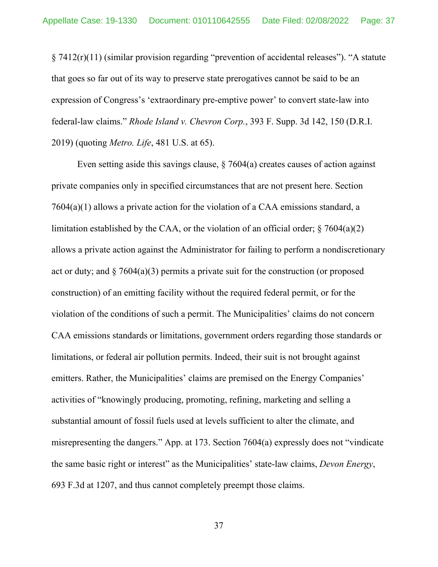§ 7412(r)(11) (similar provision regarding "prevention of accidental releases"). "A statute that goes so far out of its way to preserve state prerogatives cannot be said to be an expression of Congress's 'extraordinary pre-emptive power' to convert state-law into federal-law claims." *Rhode Island v. Chevron Corp.*, 393 F. Supp. 3d 142, 150 (D.R.I. 2019) (quoting *Metro. Life*, 481 U.S. at 65).

Even setting aside this savings clause,  $\S$  7604(a) creates causes of action against private companies only in specified circumstances that are not present here. Section 7604(a)(1) allows a private action for the violation of a CAA emissions standard, a limitation established by the CAA, or the violation of an official order;  $\frac{6}{7604(a)(2)}$ allows a private action against the Administrator for failing to perform a nondiscretionary act or duty; and  $\S$  7604(a)(3) permits a private suit for the construction (or proposed construction) of an emitting facility without the required federal permit, or for the violation of the conditions of such a permit. The Municipalities' claims do not concern CAA emissions standards or limitations, government orders regarding those standards or limitations, or federal air pollution permits. Indeed, their suit is not brought against emitters. Rather, the Municipalities' claims are premised on the Energy Companies' activities of "knowingly producing, promoting, refining, marketing and selling a substantial amount of fossil fuels used at levels sufficient to alter the climate, and misrepresenting the dangers." App. at 173. Section 7604(a) expressly does not "vindicate the same basic right or interest" as the Municipalities' state-law claims, *Devon Energy*, 693 F.3d at 1207, and thus cannot completely preempt those claims.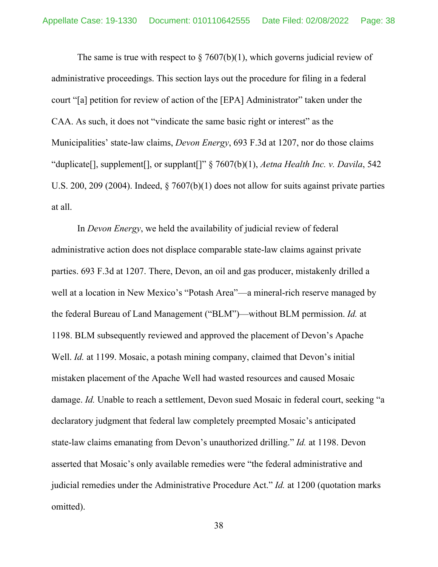The same is true with respect to  $\S 7607(b)(1)$ , which governs judicial review of administrative proceedings. This section lays out the procedure for filing in a federal court "[a] petition for review of action of the [EPA] Administrator" taken under the CAA. As such, it does not "vindicate the same basic right or interest" as the Municipalities' state-law claims, *Devon Energy*, 693 F.3d at 1207, nor do those claims "duplicate[], supplement[], or supplant[]" § 7607(b)(1), *Aetna Health Inc. v. Davila*, 542 U.S. 200, 209 (2004). Indeed, § 7607(b)(1) does not allow for suits against private parties at all.

In *Devon Energy*, we held the availability of judicial review of federal administrative action does not displace comparable state-law claims against private parties. 693 F.3d at 1207. There, Devon, an oil and gas producer, mistakenly drilled a well at a location in New Mexico's "Potash Area"—a mineral-rich reserve managed by the federal Bureau of Land Management ("BLM")—without BLM permission. *Id.* at 1198. BLM subsequently reviewed and approved the placement of Devon's Apache Well. *Id.* at 1199. Mosaic, a potash mining company, claimed that Devon's initial mistaken placement of the Apache Well had wasted resources and caused Mosaic damage. *Id.* Unable to reach a settlement, Devon sued Mosaic in federal court, seeking "a declaratory judgment that federal law completely preempted Mosaic's anticipated state-law claims emanating from Devon's unauthorized drilling." *Id.* at 1198. Devon asserted that Mosaic's only available remedies were "the federal administrative and judicial remedies under the Administrative Procedure Act." *Id.* at 1200 (quotation marks omitted).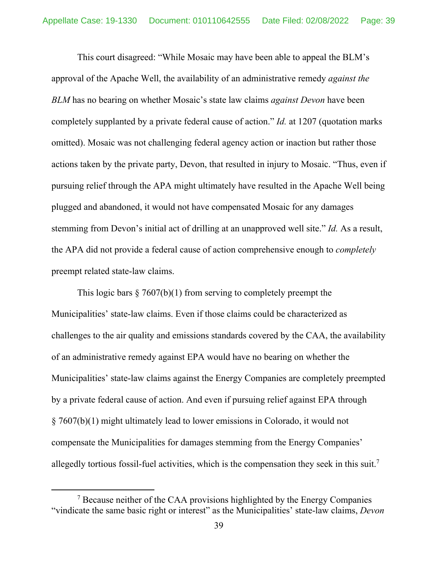This court disagreed: "While Mosaic may have been able to appeal the BLM's approval of the Apache Well, the availability of an administrative remedy *against the BLM* has no bearing on whether Mosaic's state law claims *against Devon* have been completely supplanted by a private federal cause of action." *Id.* at 1207 (quotation marks omitted). Mosaic was not challenging federal agency action or inaction but rather those actions taken by the private party, Devon, that resulted in injury to Mosaic. "Thus, even if pursuing relief through the APA might ultimately have resulted in the Apache Well being plugged and abandoned, it would not have compensated Mosaic for any damages stemming from Devon's initial act of drilling at an unapproved well site." *Id.* As a result, the APA did not provide a federal cause of action comprehensive enough to *completely* preempt related state-law claims.

This logic bars  $\S 7607(b)(1)$  from serving to completely preempt the Municipalities' state-law claims. Even if those claims could be characterized as challenges to the air quality and emissions standards covered by the CAA, the availability of an administrative remedy against EPA would have no bearing on whether the Municipalities' state-law claims against the Energy Companies are completely preempted by a private federal cause of action. And even if pursuing relief against EPA through § 7607(b)(1) might ultimately lead to lower emissions in Colorado, it would not compensate the Municipalities for damages stemming from the Energy Companies' allegedly tortious fossil-fuel activities, which is the compensation they seek in this suit.7

<sup>&</sup>lt;sup>7</sup> Because neither of the CAA provisions highlighted by the Energy Companies "vindicate the same basic right or interest" as the Municipalities' state-law claims, *Devon*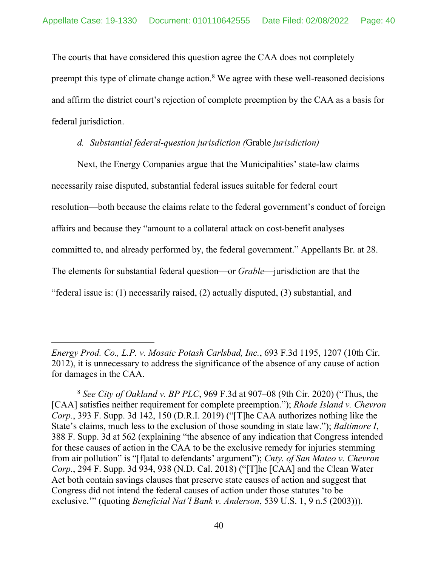The courts that have considered this question agree the CAA does not completely

preempt this type of climate change action. $8$  We agree with these well-reasoned decisions and affirm the district court's rejection of complete preemption by the CAA as a basis for federal jurisdiction.

# *d. Substantial federal-question jurisdiction (*Grable *jurisdiction)*

Next, the Energy Companies argue that the Municipalities' state-law claims necessarily raise disputed, substantial federal issues suitable for federal court resolution—both because the claims relate to the federal government's conduct of foreign affairs and because they "amount to a collateral attack on cost-benefit analyses committed to, and already performed by, the federal government." Appellants Br. at 28. The elements for substantial federal question—or *Grable*—jurisdiction are that the "federal issue is: (1) necessarily raised, (2) actually disputed, (3) substantial, and

*Energy Prod. Co., L.P. v. Mosaic Potash Carlsbad, Inc.*, 693 F.3d 1195, 1207 (10th Cir. 2012), it is unnecessary to address the significance of the absence of any cause of action for damages in the CAA.

<sup>8</sup> *See City of Oakland v. BP PLC*, 969 F.3d at 907–08 (9th Cir. 2020) ("Thus, the [CAA] satisfies neither requirement for complete preemption."); *Rhode Island v. Chevron Corp.*, 393 F. Supp. 3d 142, 150 (D.R.I. 2019) ("[T]he CAA authorizes nothing like the State's claims, much less to the exclusion of those sounding in state law."); *Baltimore I*, 388 F. Supp. 3d at 562 (explaining "the absence of any indication that Congress intended for these causes of action in the CAA to be the exclusive remedy for injuries stemming from air pollution" is "[f]atal to defendants' argument"); *Cnty. of San Mateo v. Chevron Corp.*, 294 F. Supp. 3d 934, 938 (N.D. Cal. 2018) ("[T]he [CAA] and the Clean Water Act both contain savings clauses that preserve state causes of action and suggest that Congress did not intend the federal causes of action under those statutes 'to be exclusive.'" (quoting *Beneficial Nat'l Bank v. Anderson*, 539 U.S. 1, 9 n.5 (2003))).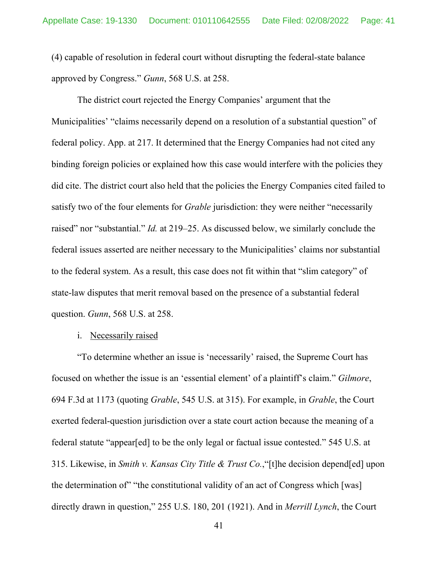(4) capable of resolution in federal court without disrupting the federal-state balance approved by Congress." *Gunn*, 568 U.S. at 258.

The district court rejected the Energy Companies' argument that the Municipalities' "claims necessarily depend on a resolution of a substantial question" of federal policy. App. at 217. It determined that the Energy Companies had not cited any binding foreign policies or explained how this case would interfere with the policies they did cite. The district court also held that the policies the Energy Companies cited failed to satisfy two of the four elements for *Grable* jurisdiction: they were neither "necessarily raised" nor "substantial." *Id.* at 219–25. As discussed below, we similarly conclude the federal issues asserted are neither necessary to the Municipalities' claims nor substantial to the federal system. As a result, this case does not fit within that "slim category" of state-law disputes that merit removal based on the presence of a substantial federal question. *Gunn*, 568 U.S. at 258.

i. Necessarily raised

"To determine whether an issue is 'necessarily' raised, the Supreme Court has focused on whether the issue is an 'essential element' of a plaintiff's claim." *Gilmore*, 694 F.3d at 1173 (quoting *Grable*, 545 U.S. at 315). For example, in *Grable*, the Court exerted federal-question jurisdiction over a state court action because the meaning of a federal statute "appear[ed] to be the only legal or factual issue contested." 545 U.S. at 315. Likewise, in *Smith v. Kansas City Title & Trust Co.*,"[t]he decision depend[ed] upon the determination of" "the constitutional validity of an act of Congress which [was] directly drawn in question," 255 U.S. 180, 201 (1921). And in *Merrill Lynch*, the Court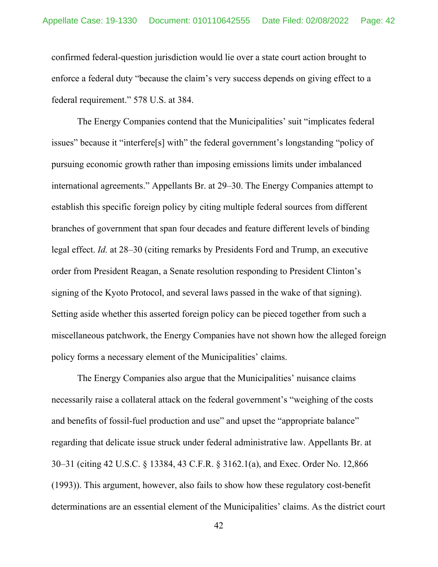confirmed federal-question jurisdiction would lie over a state court action brought to enforce a federal duty "because the claim's very success depends on giving effect to a federal requirement." 578 U.S. at 384.

The Energy Companies contend that the Municipalities' suit "implicates federal issues" because it "interfere[s] with" the federal government's longstanding "policy of pursuing economic growth rather than imposing emissions limits under imbalanced international agreements." Appellants Br. at 29–30. The Energy Companies attempt to establish this specific foreign policy by citing multiple federal sources from different branches of government that span four decades and feature different levels of binding legal effect. *Id.* at 28–30 (citing remarks by Presidents Ford and Trump, an executive order from President Reagan, a Senate resolution responding to President Clinton's signing of the Kyoto Protocol, and several laws passed in the wake of that signing). Setting aside whether this asserted foreign policy can be pieced together from such a miscellaneous patchwork, the Energy Companies have not shown how the alleged foreign policy forms a necessary element of the Municipalities' claims.

The Energy Companies also argue that the Municipalities' nuisance claims necessarily raise a collateral attack on the federal government's "weighing of the costs and benefits of fossil-fuel production and use" and upset the "appropriate balance" regarding that delicate issue struck under federal administrative law. Appellants Br. at 30–31 (citing 42 U.S.C. § 13384, 43 C.F.R. § 3162.1(a), and Exec. Order No. 12,866 (1993)). This argument, however, also fails to show how these regulatory cost-benefit determinations are an essential element of the Municipalities' claims. As the district court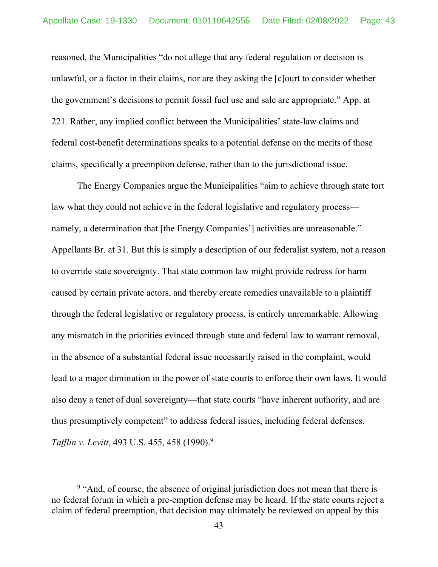reasoned, the Municipalities "do not allege that any federal regulation or decision is unlawful, or a factor in their claims, nor are they asking the [c]ourt to consider whether the government's decisions to permit fossil fuel use and sale are appropriate." App. at 221*.* Rather, any implied conflict between the Municipalities' state-law claims and federal cost-benefit determinations speaks to a potential defense on the merits of those claims, specifically a preemption defense, rather than to the jurisdictional issue.

The Energy Companies argue the Municipalities "aim to achieve through state tort law what they could not achieve in the federal legislative and regulatory process namely, a determination that [the Energy Companies'] activities are unreasonable." Appellants Br. at 31. But this is simply a description of our federalist system, not a reason to override state sovereignty. That state common law might provide redress for harm caused by certain private actors, and thereby create remedies unavailable to a plaintiff through the federal legislative or regulatory process, is entirely unremarkable. Allowing any mismatch in the priorities evinced through state and federal law to warrant removal, in the absence of a substantial federal issue necessarily raised in the complaint, would lead to a major diminution in the power of state courts to enforce their own laws. It would also deny a tenet of dual sovereignty—that state courts "have inherent authority, and are thus presumptively competent" to address federal issues, including federal defenses. *Tafflin v. Levitt*, 493 U.S. 455, 458 (1990).9

<sup>&</sup>lt;sup>9</sup> "And, of course, the absence of original jurisdiction does not mean that there is no federal forum in which a pre-emption defense may be heard. If the state courts reject a claim of federal preemption, that decision may ultimately be reviewed on appeal by this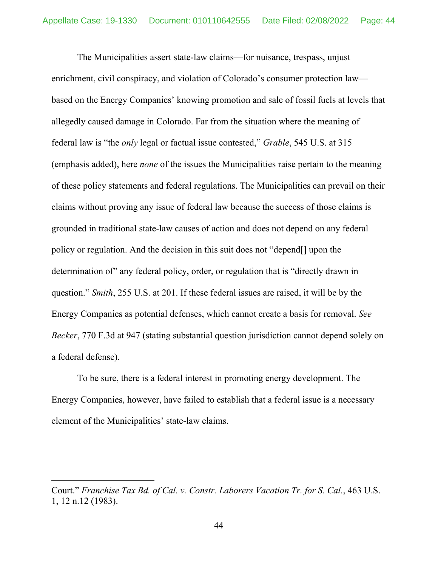The Municipalities assert state-law claims—for nuisance, trespass, unjust enrichment, civil conspiracy, and violation of Colorado's consumer protection law based on the Energy Companies' knowing promotion and sale of fossil fuels at levels that allegedly caused damage in Colorado. Far from the situation where the meaning of federal law is "the *only* legal or factual issue contested," *Grable*, 545 U.S. at 315 (emphasis added), here *none* of the issues the Municipalities raise pertain to the meaning of these policy statements and federal regulations. The Municipalities can prevail on their claims without proving any issue of federal law because the success of those claims is grounded in traditional state-law causes of action and does not depend on any federal policy or regulation. And the decision in this suit does not "depend[] upon the determination of" any federal policy, order, or regulation that is "directly drawn in question." *Smith*, 255 U.S. at 201. If these federal issues are raised, it will be by the Energy Companies as potential defenses, which cannot create a basis for removal. *See Becker*, 770 F.3d at 947 (stating substantial question jurisdiction cannot depend solely on a federal defense).

To be sure, there is a federal interest in promoting energy development. The Energy Companies, however, have failed to establish that a federal issue is a necessary element of the Municipalities' state-law claims.

Court." *Franchise Tax Bd. of Cal. v. Constr. Laborers Vacation Tr. for S. Cal.*, 463 U.S. 1, 12 n.12 (1983).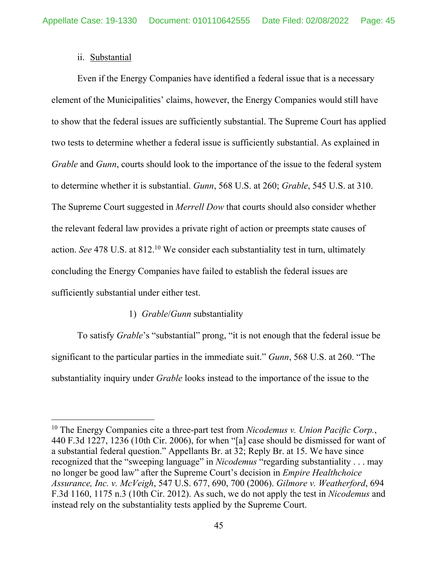# ii. Substantial

Even if the Energy Companies have identified a federal issue that is a necessary element of the Municipalities' claims, however, the Energy Companies would still have to show that the federal issues are sufficiently substantial. The Supreme Court has applied two tests to determine whether a federal issue is sufficiently substantial. As explained in *Grable* and *Gunn*, courts should look to the importance of the issue to the federal system to determine whether it is substantial. *Gunn*, 568 U.S. at 260; *Grable*, 545 U.S. at 310. The Supreme Court suggested in *Merrell Dow* that courts should also consider whether the relevant federal law provides a private right of action or preempts state causes of action. *See* 478 U.S. at 812.<sup>10</sup> We consider each substantiality test in turn, ultimately concluding the Energy Companies have failed to establish the federal issues are sufficiently substantial under either test.

# 1) *Grable*/*Gunn* substantiality

To satisfy *Grable*'s "substantial" prong, "it is not enough that the federal issue be significant to the particular parties in the immediate suit." *Gunn*, 568 U.S. at 260. "The substantiality inquiry under *Grable* looks instead to the importance of the issue to the

<sup>10</sup> The Energy Companies cite a three-part test from *Nicodemus v. Union Pacific Corp.*, 440 F.3d 1227, 1236 (10th Cir. 2006), for when "[a] case should be dismissed for want of a substantial federal question." Appellants Br. at 32; Reply Br. at 15. We have since recognized that the "sweeping language" in *Nicodemus* "regarding substantiality . . . may no longer be good law" after the Supreme Court's decision in *Empire Healthchoice Assurance, Inc. v. McVeigh*, 547 U.S. 677, 690, 700 (2006). *Gilmore v. Weatherford*, 694 F.3d 1160, 1175 n.3 (10th Cir. 2012). As such, we do not apply the test in *Nicodemus* and instead rely on the substantiality tests applied by the Supreme Court.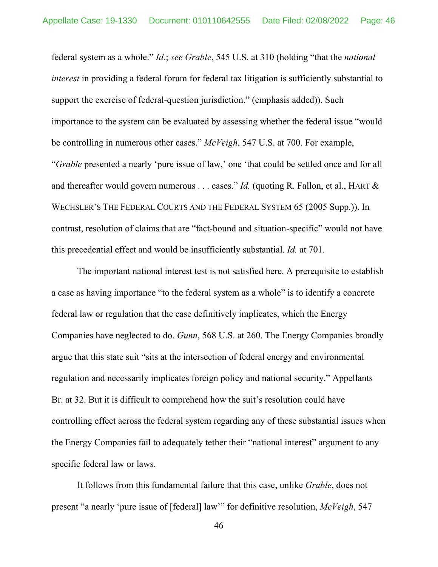federal system as a whole." *Id.*; *see Grable*, 545 U.S. at 310 (holding "that the *national interest* in providing a federal forum for federal tax litigation is sufficiently substantial to support the exercise of federal-question jurisdiction." (emphasis added)). Such importance to the system can be evaluated by assessing whether the federal issue "would be controlling in numerous other cases." *McVeigh*, 547 U.S. at 700. For example, "*Grable* presented a nearly 'pure issue of law,' one 'that could be settled once and for all and thereafter would govern numerous . . . cases." *Id.* (quoting R. Fallon, et al., HART & WECHSLER'S THE FEDERAL COURTS AND THE FEDERAL SYSTEM 65 (2005 Supp.)). In contrast, resolution of claims that are "fact-bound and situation-specific" would not have this precedential effect and would be insufficiently substantial. *Id.* at 701.

The important national interest test is not satisfied here. A prerequisite to establish a case as having importance "to the federal system as a whole" is to identify a concrete federal law or regulation that the case definitively implicates, which the Energy Companies have neglected to do. *Gunn*, 568 U.S. at 260. The Energy Companies broadly argue that this state suit "sits at the intersection of federal energy and environmental regulation and necessarily implicates foreign policy and national security." Appellants Br. at 32. But it is difficult to comprehend how the suit's resolution could have controlling effect across the federal system regarding any of these substantial issues when the Energy Companies fail to adequately tether their "national interest" argument to any specific federal law or laws.

It follows from this fundamental failure that this case, unlike *Grable*, does not present "a nearly 'pure issue of [federal] law'" for definitive resolution, *McVeigh*, 547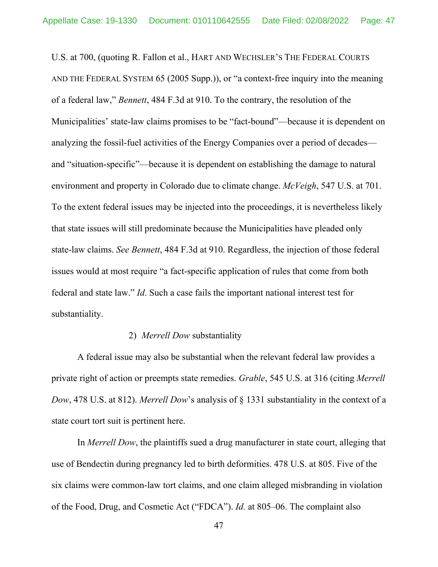U.S. at 700, (quoting R. Fallon et al., HART AND WECHSLER'S THE FEDERAL COURTS AND THE FEDERAL SYSTEM 65 (2005 Supp.)), or "a context-free inquiry into the meaning of a federal law," *Bennett*, 484 F.3d at 910. To the contrary, the resolution of the Municipalities' state-law claims promises to be "fact-bound"—because it is dependent on analyzing the fossil-fuel activities of the Energy Companies over a period of decades and "situation-specific"—because it is dependent on establishing the damage to natural environment and property in Colorado due to climate change. *McVeigh*, 547 U.S. at 701. To the extent federal issues may be injected into the proceedings, it is nevertheless likely that state issues will still predominate because the Municipalities have pleaded only state-law claims. *See Bennett*, 484 F.3d at 910. Regardless, the injection of those federal issues would at most require "a fact-specific application of rules that come from both federal and state law." *Id*. Such a case fails the important national interest test for substantiality.

# 2) *Merrell Dow* substantiality

A federal issue may also be substantial when the relevant federal law provides a private right of action or preempts state remedies. *Grable*, 545 U.S. at 316 (citing *Merrell Dow*, 478 U.S. at 812). *Merrell Dow*'s analysis of § 1331 substantiality in the context of a state court tort suit is pertinent here.

In *Merrell Dow*, the plaintiffs sued a drug manufacturer in state court, alleging that use of Bendectin during pregnancy led to birth deformities. 478 U.S. at 805. Five of the six claims were common-law tort claims, and one claim alleged misbranding in violation of the Food, Drug, and Cosmetic Act ("FDCA"). *Id.* at 805–06. The complaint also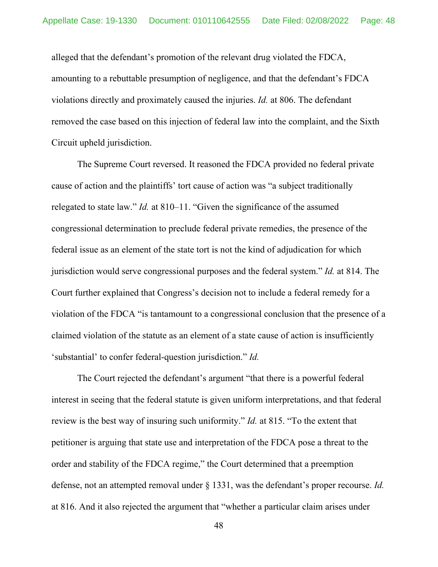alleged that the defendant's promotion of the relevant drug violated the FDCA, amounting to a rebuttable presumption of negligence, and that the defendant's FDCA violations directly and proximately caused the injuries. *Id.* at 806. The defendant removed the case based on this injection of federal law into the complaint, and the Sixth Circuit upheld jurisdiction.

The Supreme Court reversed. It reasoned the FDCA provided no federal private cause of action and the plaintiffs' tort cause of action was "a subject traditionally relegated to state law." *Id.* at 810–11. "Given the significance of the assumed congressional determination to preclude federal private remedies, the presence of the federal issue as an element of the state tort is not the kind of adjudication for which jurisdiction would serve congressional purposes and the federal system." *Id.* at 814. The Court further explained that Congress's decision not to include a federal remedy for a violation of the FDCA "is tantamount to a congressional conclusion that the presence of a claimed violation of the statute as an element of a state cause of action is insufficiently 'substantial' to confer federal-question jurisdiction." *Id.*

The Court rejected the defendant's argument "that there is a powerful federal interest in seeing that the federal statute is given uniform interpretations, and that federal review is the best way of insuring such uniformity." *Id.* at 815. "To the extent that petitioner is arguing that state use and interpretation of the FDCA pose a threat to the order and stability of the FDCA regime," the Court determined that a preemption defense, not an attempted removal under § 1331, was the defendant's proper recourse. *Id.*  at 816. And it also rejected the argument that "whether a particular claim arises under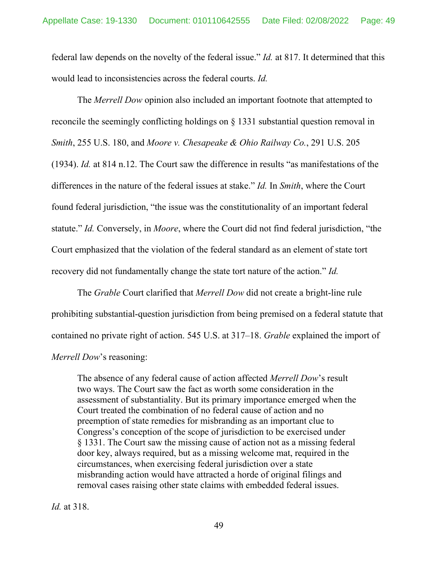federal law depends on the novelty of the federal issue." *Id.* at 817. It determined that this would lead to inconsistencies across the federal courts. *Id.*

The *Merrell Dow* opinion also included an important footnote that attempted to reconcile the seemingly conflicting holdings on § 1331 substantial question removal in *Smith*, 255 U.S. 180, and *Moore v. Chesapeake & Ohio Railway Co.*, 291 U.S. 205 (1934). *Id.* at 814 n.12. The Court saw the difference in results "as manifestations of the differences in the nature of the federal issues at stake." *Id.* In *Smith*, where the Court found federal jurisdiction, "the issue was the constitutionality of an important federal statute." *Id.* Conversely, in *Moore*, where the Court did not find federal jurisdiction, "the Court emphasized that the violation of the federal standard as an element of state tort recovery did not fundamentally change the state tort nature of the action." *Id.* 

The *Grable* Court clarified that *Merrell Dow* did not create a bright-line rule prohibiting substantial-question jurisdiction from being premised on a federal statute that contained no private right of action. 545 U.S. at 317–18. *Grable* explained the import of *Merrell Dow*'s reasoning:

The absence of any federal cause of action affected *Merrell Dow*'s result two ways. The Court saw the fact as worth some consideration in the assessment of substantiality. But its primary importance emerged when the Court treated the combination of no federal cause of action and no preemption of state remedies for misbranding as an important clue to Congress's conception of the scope of jurisdiction to be exercised under § 1331. The Court saw the missing cause of action not as a missing federal door key, always required, but as a missing welcome mat, required in the circumstances, when exercising federal jurisdiction over a state misbranding action would have attracted a horde of original filings and removal cases raising other state claims with embedded federal issues.

*Id.* at 318.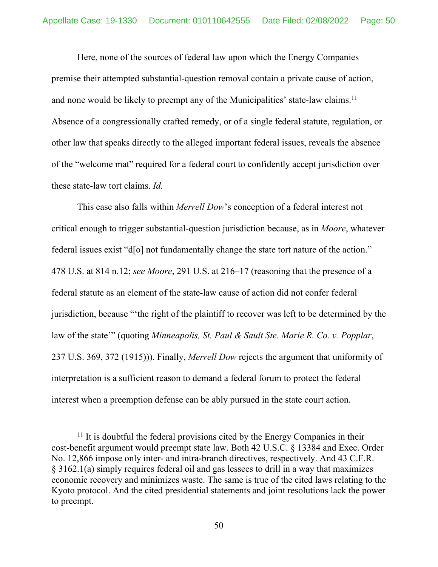Here, none of the sources of federal law upon which the Energy Companies premise their attempted substantial-question removal contain a private cause of action, and none would be likely to preempt any of the Municipalities' state-law claims.<sup>11</sup> Absence of a congressionally crafted remedy, or of a single federal statute, regulation, or other law that speaks directly to the alleged important federal issues, reveals the absence of the "welcome mat" required for a federal court to confidently accept jurisdiction over these state-law tort claims. *Id.*

This case also falls within *Merrell Dow*'s conception of a federal interest not critical enough to trigger substantial-question jurisdiction because, as in *Moore*, whatever federal issues exist "d[o] not fundamentally change the state tort nature of the action." 478 U.S. at 814 n.12; *see Moore*, 291 U.S. at 216–17 (reasoning that the presence of a federal statute as an element of the state-law cause of action did not confer federal jurisdiction, because "'the right of the plaintiff to recover was left to be determined by the law of the state'" (quoting *Minneapolis, St. Paul & Sault Ste. Marie R. Co. v. Popplar*, 237 U.S. 369, 372 (1915))). Finally, *Merrell Dow* rejects the argument that uniformity of interpretation is a sufficient reason to demand a federal forum to protect the federal interest when a preemption defense can be ably pursued in the state court action.

 $11$  It is doubtful the federal provisions cited by the Energy Companies in their cost-benefit argument would preempt state law. Both 42 U.S.C. § 13384 and Exec. Order No. 12,866 impose only inter- and intra-branch directives, respectively. And 43 C.F.R. § 3162.1(a) simply requires federal oil and gas lessees to drill in a way that maximizes economic recovery and minimizes waste. The same is true of the cited laws relating to the Kyoto protocol. And the cited presidential statements and joint resolutions lack the power to preempt.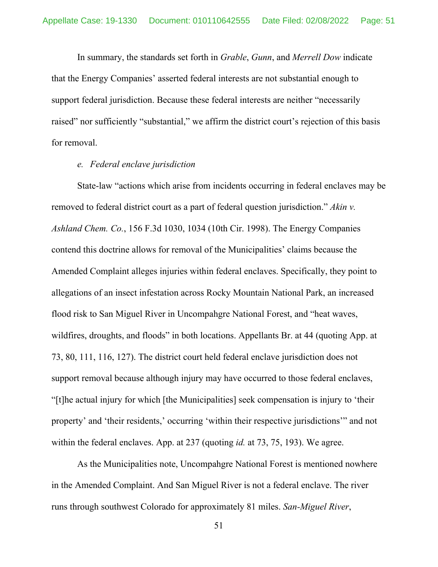In summary, the standards set forth in *Grable*, *Gunn*, and *Merrell Dow* indicate that the Energy Companies' asserted federal interests are not substantial enough to support federal jurisdiction. Because these federal interests are neither "necessarily raised" nor sufficiently "substantial," we affirm the district court's rejection of this basis for removal.

### *e. Federal enclave jurisdiction*

State-law "actions which arise from incidents occurring in federal enclaves may be removed to federal district court as a part of federal question jurisdiction." *Akin v. Ashland Chem. Co.*, 156 F.3d 1030, 1034 (10th Cir. 1998). The Energy Companies contend this doctrine allows for removal of the Municipalities' claims because the Amended Complaint alleges injuries within federal enclaves. Specifically, they point to allegations of an insect infestation across Rocky Mountain National Park, an increased flood risk to San Miguel River in Uncompahgre National Forest, and "heat waves, wildfires, droughts, and floods" in both locations. Appellants Br. at 44 (quoting App. at 73, 80, 111, 116, 127). The district court held federal enclave jurisdiction does not support removal because although injury may have occurred to those federal enclaves, "[t]he actual injury for which [the Municipalities] seek compensation is injury to 'their property' and 'their residents,' occurring 'within their respective jurisdictions'" and not within the federal enclaves. App. at 237 (quoting *id.* at 73, 75, 193). We agree.

As the Municipalities note, Uncompahgre National Forest is mentioned nowhere in the Amended Complaint. And San Miguel River is not a federal enclave. The river runs through southwest Colorado for approximately 81 miles. *San-Miguel River*,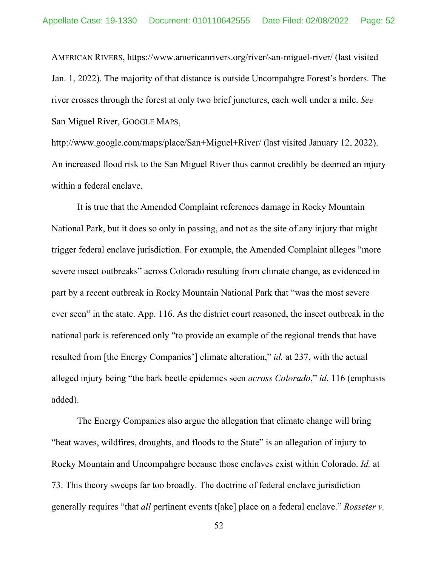AMERICAN RIVERS, https://www.americanrivers.org/river/san-miguel-river/ (last visited Jan. 1, 2022). The majority of that distance is outside Uncompahgre Forest's borders. The river crosses through the forest at only two brief junctures, each well under a mile. *See*  San Miguel River, GOOGLE MAPS,

http://www.google.com/maps/place/San+Miguel+River/ (last visited January 12, 2022). An increased flood risk to the San Miguel River thus cannot credibly be deemed an injury within a federal enclave.

It is true that the Amended Complaint references damage in Rocky Mountain National Park, but it does so only in passing, and not as the site of any injury that might trigger federal enclave jurisdiction. For example, the Amended Complaint alleges "more severe insect outbreaks" across Colorado resulting from climate change, as evidenced in part by a recent outbreak in Rocky Mountain National Park that "was the most severe ever seen" in the state. App. 116. As the district court reasoned, the insect outbreak in the national park is referenced only "to provide an example of the regional trends that have resulted from [the Energy Companies'] climate alteration," *id.* at 237, with the actual alleged injury being "the bark beetle epidemics seen *across Colorado*," *id.* 116 (emphasis added).

The Energy Companies also argue the allegation that climate change will bring "heat waves, wildfires, droughts, and floods to the State" is an allegation of injury to Rocky Mountain and Uncompahgre because those enclaves exist within Colorado. *Id.* at 73. This theory sweeps far too broadly. The doctrine of federal enclave jurisdiction generally requires "that *all* pertinent events t[ake] place on a federal enclave." *Rosseter v.*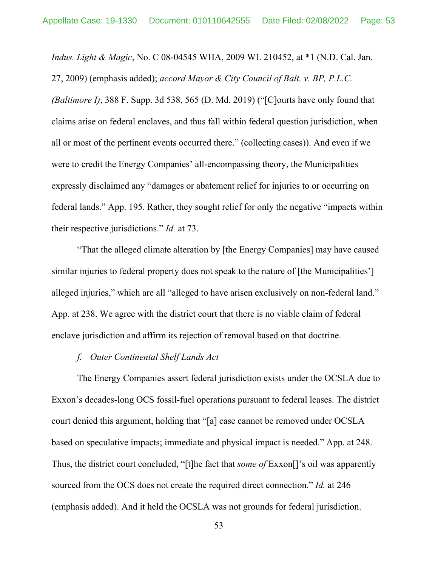*Indus. Light & Magic*, No. C 08-04545 WHA, 2009 WL 210452, at \*1 (N.D. Cal. Jan. 27, 2009) (emphasis added); *accord Mayor & City Council of Balt. v. BP, P.L.C.* 

*(Baltimore I)*, 388 F. Supp. 3d 538, 565 (D. Md. 2019) ("[C]ourts have only found that claims arise on federal enclaves, and thus fall within federal question jurisdiction, when all or most of the pertinent events occurred there." (collecting cases)). And even if we were to credit the Energy Companies' all-encompassing theory, the Municipalities expressly disclaimed any "damages or abatement relief for injuries to or occurring on federal lands." App. 195. Rather, they sought relief for only the negative "impacts within their respective jurisdictions." *Id.* at 73.

"That the alleged climate alteration by [the Energy Companies] may have caused similar injuries to federal property does not speak to the nature of [the Municipalities'] alleged injuries," which are all "alleged to have arisen exclusively on non-federal land." App. at 238. We agree with the district court that there is no viable claim of federal enclave jurisdiction and affirm its rejection of removal based on that doctrine.

# *f. Outer Continental Shelf Lands Act*

The Energy Companies assert federal jurisdiction exists under the OCSLA due to Exxon's decades-long OCS fossil-fuel operations pursuant to federal leases. The district court denied this argument, holding that "[a] case cannot be removed under OCSLA based on speculative impacts; immediate and physical impact is needed." App. at 248. Thus, the district court concluded, "[t]he fact that *some of* Exxon[]'s oil was apparently sourced from the OCS does not create the required direct connection." *Id.* at 246 (emphasis added). And it held the OCSLA was not grounds for federal jurisdiction.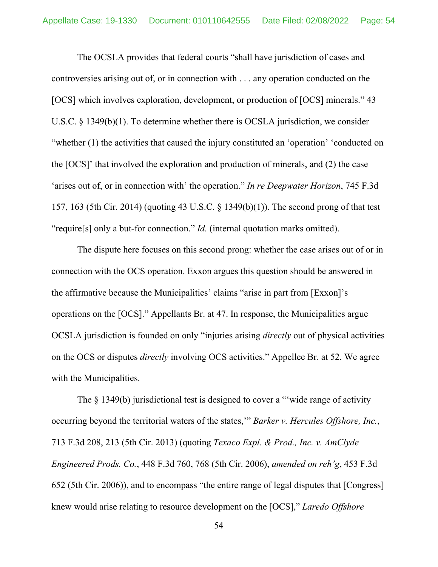The OCSLA provides that federal courts "shall have jurisdiction of cases and controversies arising out of, or in connection with . . . any operation conducted on the [OCS] which involves exploration, development, or production of [OCS] minerals." 43 U.S.C. § 1349(b)(1). To determine whether there is OCSLA jurisdiction, we consider "whether (1) the activities that caused the injury constituted an 'operation' 'conducted on the [OCS]' that involved the exploration and production of minerals, and (2) the case 'arises out of, or in connection with' the operation." *In re Deepwater Horizon*, 745 F.3d 157, 163 (5th Cir. 2014) (quoting 43 U.S.C. § 1349(b)(1)). The second prong of that test "require[s] only a but-for connection." *Id.* (internal quotation marks omitted).

The dispute here focuses on this second prong: whether the case arises out of or in connection with the OCS operation. Exxon argues this question should be answered in the affirmative because the Municipalities' claims "arise in part from [Exxon]'s operations on the [OCS]." Appellants Br. at 47. In response, the Municipalities argue OCSLA jurisdiction is founded on only "injuries arising *directly* out of physical activities on the OCS or disputes *directly* involving OCS activities." Appellee Br. at 52. We agree with the Municipalities.

The § 1349(b) jurisdictional test is designed to cover a "wide range of activity occurring beyond the territorial waters of the states,'" *Barker v. Hercules Offshore, Inc.*, 713 F.3d 208, 213 (5th Cir. 2013) (quoting *Texaco Expl. & Prod., Inc. v. AmClyde Engineered Prods. Co.*, 448 F.3d 760, 768 (5th Cir. 2006), *amended on reh'g*, 453 F.3d 652 (5th Cir. 2006)), and to encompass "the entire range of legal disputes that [Congress] knew would arise relating to resource development on the [OCS]," *Laredo Offshore*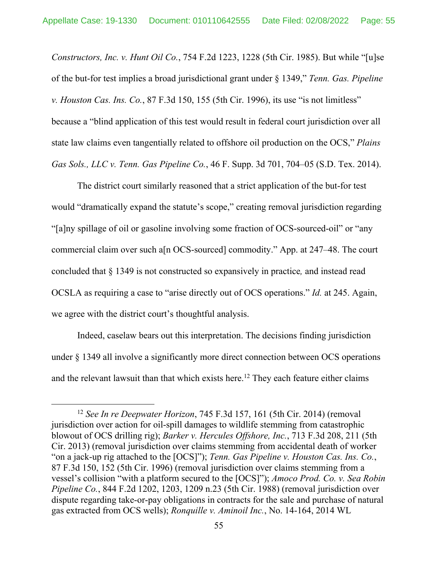*Constructors, Inc. v. Hunt Oil Co.*, 754 F.2d 1223, 1228 (5th Cir. 1985). But while "[u]se of the but-for test implies a broad jurisdictional grant under § 1349," *Tenn. Gas. Pipeline v. Houston Cas. Ins. Co.*, 87 F.3d 150, 155 (5th Cir. 1996), its use "is not limitless" because a "blind application of this test would result in federal court jurisdiction over all state law claims even tangentially related to offshore oil production on the OCS," *Plains Gas Sols., LLC v. Tenn. Gas Pipeline Co.*, 46 F. Supp. 3d 701, 704–05 (S.D. Tex. 2014).

The district court similarly reasoned that a strict application of the but-for test would "dramatically expand the statute's scope," creating removal jurisdiction regarding "[a]ny spillage of oil or gasoline involving some fraction of OCS-sourced-oil" or "any commercial claim over such a[n OCS-sourced] commodity." App. at 247–48. The court concluded that § 1349 is not constructed so expansively in practice*,* and instead read OCSLA as requiring a case to "arise directly out of OCS operations." *Id.* at 245. Again, we agree with the district court's thoughtful analysis.

Indeed, caselaw bears out this interpretation. The decisions finding jurisdiction under § 1349 all involve a significantly more direct connection between OCS operations and the relevant lawsuit than that which exists here.<sup>12</sup> They each feature either claims

<sup>12</sup> *See In re Deepwater Horizon*, 745 F.3d 157, 161 (5th Cir. 2014) (removal jurisdiction over action for oil-spill damages to wildlife stemming from catastrophic blowout of OCS drilling rig); *Barker v. Hercules Offshore, Inc.*, 713 F.3d 208, 211 (5th Cir. 2013) (removal jurisdiction over claims stemming from accidental death of worker "on a jack-up rig attached to the [OCS]"); *Tenn. Gas Pipeline v. Houston Cas. Ins. Co.*, 87 F.3d 150, 152 (5th Cir. 1996) (removal jurisdiction over claims stemming from a vessel's collision "with a platform secured to the [OCS]"); *Amoco Prod. Co. v. Sea Robin Pipeline Co.*, 844 F.2d 1202, 1203, 1209 n.23 (5th Cir. 1988) (removal jurisdiction over dispute regarding take-or-pay obligations in contracts for the sale and purchase of natural gas extracted from OCS wells); *Ronquille v. Aminoil Inc.*, No. 14-164, 2014 WL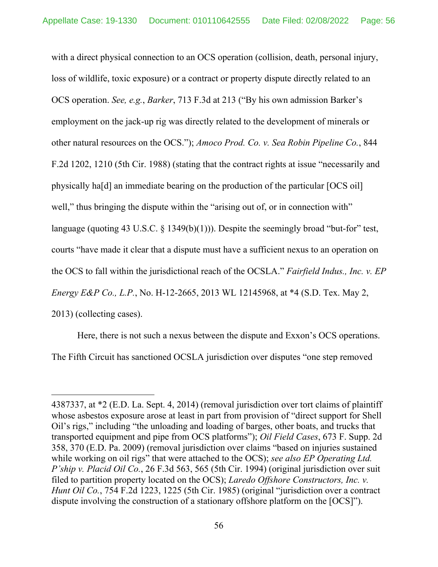with a direct physical connection to an OCS operation (collision, death, personal injury, loss of wildlife, toxic exposure) or a contract or property dispute directly related to an OCS operation. *See, e.g.*, *Barker*, 713 F.3d at 213 ("By his own admission Barker's employment on the jack-up rig was directly related to the development of minerals or other natural resources on the OCS."); *Amoco Prod. Co. v. Sea Robin Pipeline Co.*, 844 F.2d 1202, 1210 (5th Cir. 1988) (stating that the contract rights at issue "necessarily and physically ha[d] an immediate bearing on the production of the particular [OCS oil] well," thus bringing the dispute within the "arising out of, or in connection with" language (quoting 43 U.S.C.  $\S$  1349(b)(1))). Despite the seemingly broad "but-for" test, courts "have made it clear that a dispute must have a sufficient nexus to an operation on the OCS to fall within the jurisdictional reach of the OCSLA." *Fairfield Indus., Inc. v. EP Energy E&P Co., L.P.*, No. H-12-2665, 2013 WL 12145968, at \*4 (S.D. Tex. May 2, 2013) (collecting cases).

Here, there is not such a nexus between the dispute and Exxon's OCS operations. The Fifth Circuit has sanctioned OCSLA jurisdiction over disputes "one step removed

<sup>4387337,</sup> at \*2 (E.D. La. Sept. 4, 2014) (removal jurisdiction over tort claims of plaintiff whose asbestos exposure arose at least in part from provision of "direct support for Shell Oil's rigs," including "the unloading and loading of barges, other boats, and trucks that transported equipment and pipe from OCS platforms"); *Oil Field Cases*, 673 F. Supp. 2d 358, 370 (E.D. Pa. 2009) (removal jurisdiction over claims "based on injuries sustained while working on oil rigs" that were attached to the OCS); *see also EP Operating Ltd. P'ship v. Placid Oil Co.*, 26 F.3d 563, 565 (5th Cir. 1994) (original jurisdiction over suit filed to partition property located on the OCS); *Laredo Offshore Constructors, Inc. v. Hunt Oil Co.*, 754 F.2d 1223, 1225 (5th Cir. 1985) (original "jurisdiction over a contract dispute involving the construction of a stationary offshore platform on the [OCS]").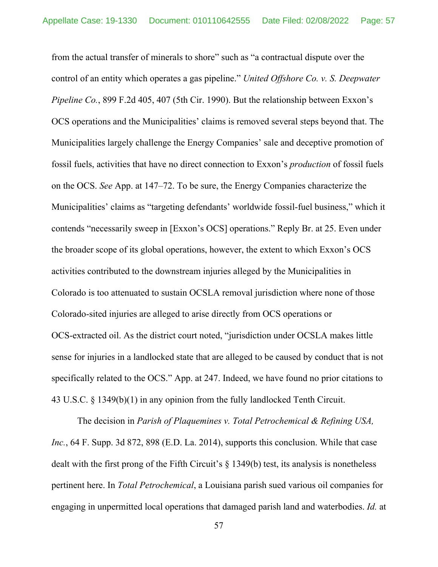from the actual transfer of minerals to shore" such as "a contractual dispute over the control of an entity which operates a gas pipeline." *United Offshore Co. v. S. Deepwater Pipeline Co.*, 899 F.2d 405, 407 (5th Cir. 1990). But the relationship between Exxon's OCS operations and the Municipalities' claims is removed several steps beyond that. The Municipalities largely challenge the Energy Companies' sale and deceptive promotion of fossil fuels, activities that have no direct connection to Exxon's *production* of fossil fuels on the OCS. *See* App. at 147–72. To be sure, the Energy Companies characterize the Municipalities' claims as "targeting defendants' worldwide fossil-fuel business," which it contends "necessarily sweep in [Exxon's OCS] operations." Reply Br. at 25. Even under the broader scope of its global operations, however, the extent to which Exxon's OCS activities contributed to the downstream injuries alleged by the Municipalities in Colorado is too attenuated to sustain OCSLA removal jurisdiction where none of those Colorado-sited injuries are alleged to arise directly from OCS operations or OCS-extracted oil. As the district court noted, "jurisdiction under OCSLA makes little sense for injuries in a landlocked state that are alleged to be caused by conduct that is not specifically related to the OCS." App. at 247. Indeed, we have found no prior citations to 43 U.S.C. § 1349(b)(1) in any opinion from the fully landlocked Tenth Circuit.

The decision in *Parish of Plaquemines v. Total Petrochemical & Refining USA, Inc.*, 64 F. Supp. 3d 872, 898 (E.D. La. 2014), supports this conclusion. While that case dealt with the first prong of the Fifth Circuit's § 1349(b) test, its analysis is nonetheless pertinent here. In *Total Petrochemical*, a Louisiana parish sued various oil companies for engaging in unpermitted local operations that damaged parish land and waterbodies. *Id.* at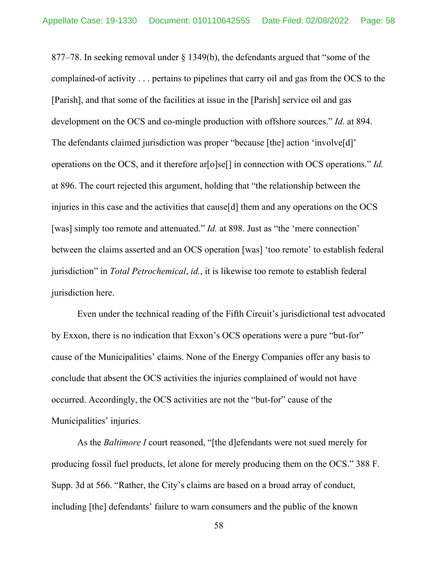877–78. In seeking removal under § 1349(b), the defendants argued that "some of the complained-of activity . . . pertains to pipelines that carry oil and gas from the OCS to the [Parish], and that some of the facilities at issue in the [Parish] service oil and gas development on the OCS and co-mingle production with offshore sources." *Id.* at 894. The defendants claimed jurisdiction was proper "because [the] action 'involve[d]' operations on the OCS, and it therefore ar[o]se[] in connection with OCS operations." *Id.*  at 896. The court rejected this argument, holding that "the relationship between the injuries in this case and the activities that cause[d] them and any operations on the OCS [was] simply too remote and attenuated." *Id.* at 898. Just as "the 'mere connection' between the claims asserted and an OCS operation [was] 'too remote' to establish federal jurisdiction" in *Total Petrochemical*, *id.*, it is likewise too remote to establish federal jurisdiction here.

Even under the technical reading of the Fifth Circuit's jurisdictional test advocated by Exxon, there is no indication that Exxon's OCS operations were a pure "but-for" cause of the Municipalities' claims. None of the Energy Companies offer any basis to conclude that absent the OCS activities the injuries complained of would not have occurred. Accordingly, the OCS activities are not the "but-for" cause of the Municipalities' injuries.

As the *Baltimore I* court reasoned, "[the d]efendants were not sued merely for producing fossil fuel products, let alone for merely producing them on the OCS." 388 F. Supp. 3d at 566. "Rather, the City's claims are based on a broad array of conduct, including [the] defendants' failure to warn consumers and the public of the known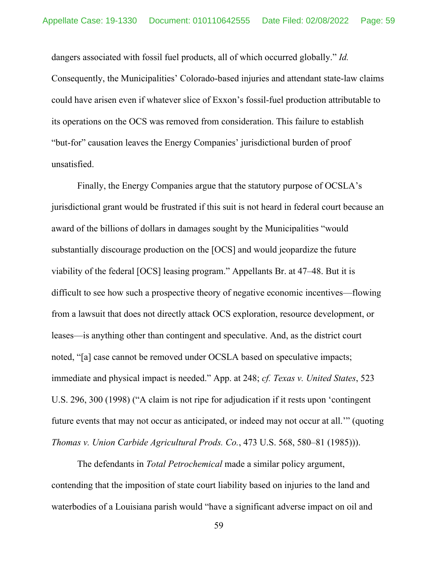dangers associated with fossil fuel products, all of which occurred globally." *Id.*  Consequently, the Municipalities' Colorado-based injuries and attendant state-law claims could have arisen even if whatever slice of Exxon's fossil-fuel production attributable to its operations on the OCS was removed from consideration. This failure to establish "but-for" causation leaves the Energy Companies' jurisdictional burden of proof unsatisfied.

Finally, the Energy Companies argue that the statutory purpose of OCSLA's jurisdictional grant would be frustrated if this suit is not heard in federal court because an award of the billions of dollars in damages sought by the Municipalities "would substantially discourage production on the [OCS] and would jeopardize the future viability of the federal [OCS] leasing program." Appellants Br. at 47–48. But it is difficult to see how such a prospective theory of negative economic incentives—flowing from a lawsuit that does not directly attack OCS exploration, resource development, or leases—is anything other than contingent and speculative. And, as the district court noted, "[a] case cannot be removed under OCSLA based on speculative impacts; immediate and physical impact is needed." App. at 248; *cf. Texas v. United States*, 523 U.S. 296, 300 (1998) ("A claim is not ripe for adjudication if it rests upon 'contingent future events that may not occur as anticipated, or indeed may not occur at all.'" (quoting *Thomas v. Union Carbide Agricultural Prods. Co.*, 473 U.S. 568, 580–81 (1985))).

The defendants in *Total Petrochemical* made a similar policy argument, contending that the imposition of state court liability based on injuries to the land and waterbodies of a Louisiana parish would "have a significant adverse impact on oil and